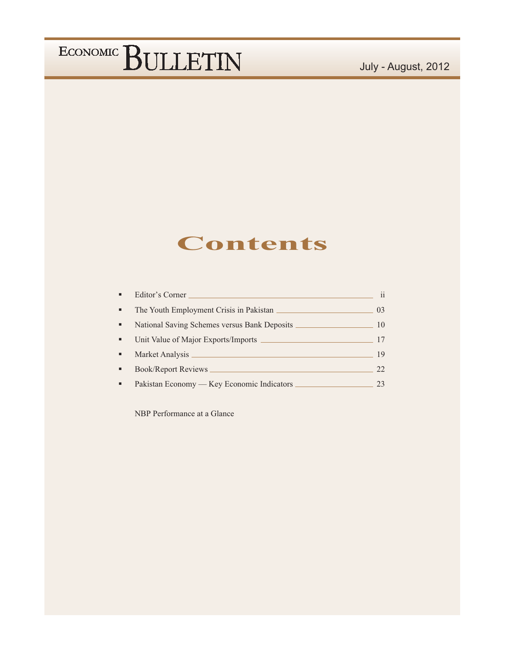### July - August, 2012

### **Contents**

| ٠              | Editor's Corner                            | 11             |
|----------------|--------------------------------------------|----------------|
| $\blacksquare$ | The Youth Employment Crisis in Pakistan    | 0 <sup>3</sup> |
| ٠              |                                            | 10             |
| ٠              | Unit Value of Major Exports/Imports        | 17             |
| ٠              | Market Analysis                            | 19             |
| ٠              | Book/Report Reviews                        | 22             |
| ٠              | Pakistan Economy — Key Economic Indicators |                |

NBP Performance at a Glance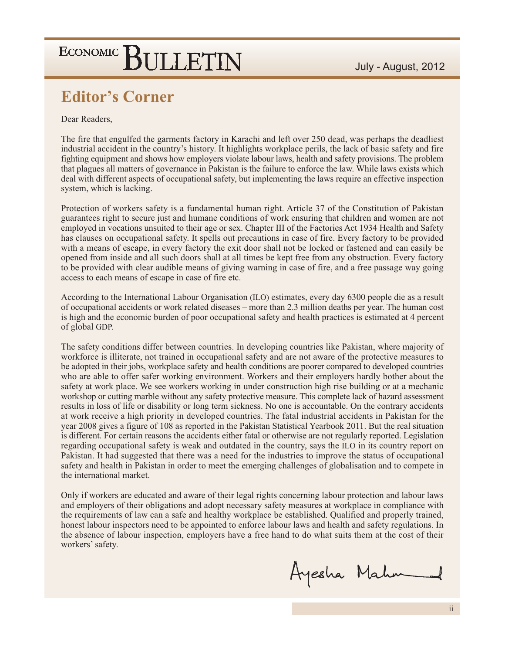### **Editor's Corner**

#### Dear Readers,

The fire that engulfed the garments factory in Karachi and left over 250 dead, was perhaps the deadliest industrial accident in the country's history. It highlights workplace perils, the lack of basic safety and fire fighting equipment and shows how employers violate labour laws, health and safety provisions. The problem that plagues all matters of governance in Pakistan is the failure to enforce the law. While laws exists which deal with different aspects of occupational safety, but implementing the laws require an effective inspection system, which is lacking.

Protection of workers safety is a fundamental human right. Article 37 of the Constitution of Pakistan guarantees right to secure just and humane conditions of work ensuring that children and women are not employed in vocations unsuited to their age or sex. Chapter III of the Factories Act 1934 Health and Safety has clauses on occupational safety. It spells out precautions in case of fire. Every factory to be provided with a means of escape, in every factory the exit door shall not be locked or fastened and can easily be opened from inside and all such doors shall at all times be kept free from any obstruction. Every factory to be provided with clear audible means of giving warning in case of fire, and a free passage way going access to each means of escape in case of fire etc.

According to the International Labour Organisation (ILO) estimates, every day 6300 people die as a result of occupational accidents or work related diseases – more than 2.3 million deaths per year. The human cost is high and the economic burden of poor occupational safety and health practices is estimated at 4 percent of global GDP.

The safety conditions differ between countries. In developing countries like Pakistan, where majority of workforce is illiterate, not trained in occupational safety and are not aware of the protective measures to be adopted in their jobs, workplace safety and health conditions are poorer compared to developed countries who are able to offer safer working environment. Workers and their employers hardly bother about the safety at work place. We see workers working in under construction high rise building or at a mechanic workshop or cutting marble without any safety protective measure. This complete lack of hazard assessment results in loss of life or disability or long term sickness. No one is accountable. On the contrary accidents at work receive a high priority in developed countries. The fatal industrial accidents in Pakistan for the year 2008 gives a figure of 108 as reported in the Pakistan Statistical Yearbook 2011. But the real situation is different. For certain reasons the accidents either fatal or otherwise are not regularly reported. Legislation regarding occupational safety is weak and outdated in the country, says the ILO in its country report on Pakistan. It had suggested that there was a need for the industries to improve the status of occupational safety and health in Pakistan in order to meet the emerging challenges of globalisation and to compete in the international market.

Only if workers are educated and aware of their legal rights concerning labour protection and labour laws and employers of their obligations and adopt necessary safety measures at workplace in compliance with the requirements of law can a safe and healthy workplace be established. Qualified and properly trained, honest labour inspectors need to be appointed to enforce labour laws and health and safety regulations. In the absence of labour inspection, employers have a free hand to do what suits them at the cost of their workers' safety.

Ayesha Mahm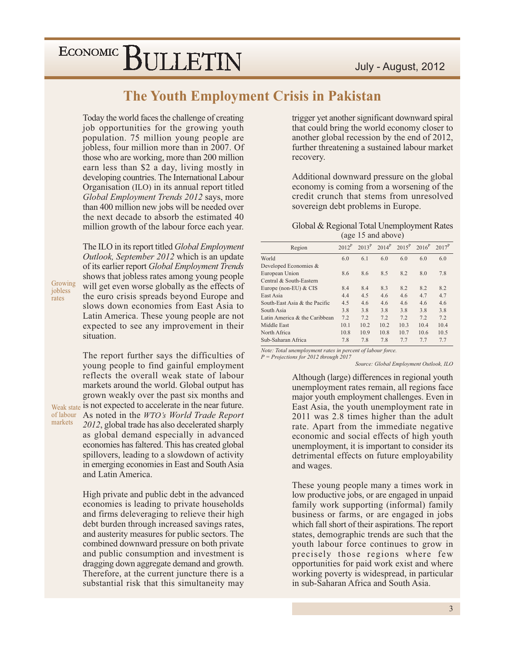### **The Youth Employment Crisis in Pakistan**

Today the world faces the challenge of creating job opportunities for the growing youth population. 75 million young people are jobless, four million more than in 2007. Of those who are working, more than 200 million earn less than \$2 a day, living mostly in developing countries. The International Labour Organisation (ILO) in its annual report titled Global Employment Trends 2012 says, more than 400 million new jobs will be needed over the next decade to absorb the estimated 40 million growth of the labour force each year.

The ILO in its report titled *Global Employment Outlook, September 2012* which is an update of its earlier report Global Employment Trends shows that jobless rates among young people will get even worse globally as the effects of the euro crisis spreads beyond Europe and slows down economies from East Asia to Latin America. These young people are not expected to see any improvement in their situation.

Growing

iobless

markets

rates

The report further says the difficulties of young people to find gainful employment reflects the overall weak state of labour markets around the world. Global output has grown weakly over the past six months and Weak state is not expected to accelerate in the near future. of labour As noted in the WTO's World Trade Report 2012, global trade has also decelerated sharply as global demand especially in advanced economies has faltered. This has created global spillovers, leading to a slowdown of activity in emerging economies in East and South Asia and Latin America.

> High private and public debt in the advanced economies is leading to private households and firms deleveraging to relieve their high debt burden through increased savings rates, and austerity measures for public sectors. The combined downward pressure on both private and public consumption and investment is dragging down aggregate demand and growth. Therefore, at the current juncture there is a substantial risk that this simultaneity may

trigger yet another significant downward spiral that could bring the world economy closer to another global recession by the end of 2012, further threatening a sustained labour market recovery.

Additional downward pressure on the global economy is coming from a worsening of the credit crunch that stems from unresolved sovereign debt problems in Europe.

#### Global & Regional Total Unemployment Rates (age 15 and above)

| Region                        | $2012^P$ | $2013^P$ | $2014^P$ | $2015^P$ | $2016^P$ | $2017^P$ |
|-------------------------------|----------|----------|----------|----------|----------|----------|
| World                         | 6.0      | 6.1      | 6.0      | 6.0      | 6.0      | 6.0      |
| Developed Economies &         |          |          |          |          |          |          |
| European Union                | 8.6      | 8.6      | 8.5      | 8.2      | 8.0      | 7.8      |
| Central & South-Eastern       |          |          |          |          |          |          |
| Europe (non-EU) & CIS         | 8.4      | 8.4      | 8.3      | 8.2      | 8.2      | 8.2      |
| East Asia                     | 4.4      | 4.5      | 4.6      | 4.6      | 4.7      | 4.7      |
| South-East Asia & the Pacific | 4.5      | 4.6      | 4.6      | 4.6      | 4.6      | 4.6      |
| South Asia                    | 3.8      | 3.8      | 3.8      | 3.8      | 3.8      | 3.8      |
| Latin America & the Caribbean | 7.2      | 7.2      | 7.2      | 7.2      | 7.2      | 7.2      |
| Middle East                   | 10.1     | 10.2     | 10.2     | 10.3     | 10.4     | 10.4     |
| North Africa                  | 10.8     | 10.9     | 10.8     | 10.7     | 10.6     | 10.5     |
| Sub-Saharan Africa            | 7.8      | 7.8      | 7.8      | 7.7      | 7.7      | 7.7      |

Note: Total unemployment rates in percent of labour force.

 $P = Projections for 2012 through 2017$ Source: Global Employment Outlook, ILO

> Although (large) differences in regional youth unemployment rates remain, all regions face major youth employment challenges. Even in East Asia, the youth unemployment rate in 2011 was 2.8 times higher than the adult rate. Apart from the immediate negative economic and social effects of high youth unemployment, it is important to consider its detrimental effects on future employability and wages.

These young people many a times work in low productive jobs, or are engaged in unpaid family work supporting (informal) family business or farms, or are engaged in jobs which fall short of their aspirations. The report states, demographic trends are such that the youth labour force continues to grow in precisely those regions where few opportunities for paid work exist and where working poverty is widespread, in particular in sub-Saharan Africa and South Asia.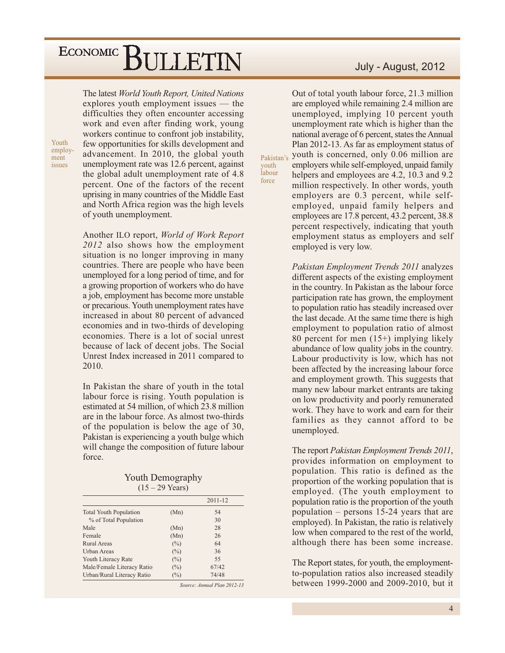The latest World Youth Report, United Nations explores youth employment issues — the difficulties they often encounter accessing work and even after finding work, young workers continue to confront job instability, few opportunities for skills development and advancement. In 2010, the global youth unemployment rate was 12.6 percent, against the global adult unemployment rate of 4.8 percent. One of the factors of the recent uprising in many countries of the Middle East and North Africa region was the high levels of youth unemployment.

Another ILO report, World of Work Report 2012 also shows how the employment situation is no longer improving in many countries. There are people who have been unemployed for a long period of time, and for a growing proportion of workers who do have a job, employment has become more unstable or precarious. Youth unemployment rates have increased in about 80 percent of advanced economies and in two-thirds of developing economies. There is a lot of social unrest because of lack of decent jobs. The Social Unrest Index increased in 2011 compared to  $2010.$ 

In Pakistan the share of youth in the total labour force is rising. Youth population is estimated at 54 million, of which 23.8 million are in the labour force. As almost two-thirds of the population is below the age of 30, Pakistan is experiencing a youth bulge which will change the composition of future labour force.

**Youth Demography**  $(15 - 29$  Years)

|                               |        | 2011-12 |
|-------------------------------|--------|---------|
| <b>Total Youth Population</b> | (Mn)   | 54      |
| % of Total Population         |        | 30      |
| Male                          | (Mn)   | 28      |
| Female                        | (Mn)   | 26      |
| Rural Areas                   | (%)    | 64      |
| <b>Urban Areas</b>            | (%)    | 36      |
| Youth Literacy Rate           | $(\%)$ | 55      |
| Male/Female Literacy Ratio    | $(\%)$ | 67/42   |
| Urban/Rural Literacy Ratio    | $(\%)$ | 74/48   |
|                               |        |         |

Source: Annual Plan 2012-13

#### July - August, 2012

Out of total youth labour force, 21.3 million are employed while remaining 2.4 million are unemployed, implying 10 percent youth unemployment rate which is higher than the national average of 6 percent, states the Annual Plan 2012-13. As far as employment status of youth is concerned, only 0.06 million are employers while self-employed, unpaid family helpers and employees are 4.2, 10.3 and 9.2 million respectively. In other words, youth employers are 0.3 percent, while selfemployed, unpaid family helpers and employees are 17.8 percent, 43.2 percent, 38.8 percent respectively, indicating that youth employment status as employers and self employed is very low.

Pakistan

youth labour

force

Pakistan Employment Trends 2011 analyzes different aspects of the existing employment in the country. In Pakistan as the labour force participation rate has grown, the employment to population ratio has steadily increased over the last decade. At the same time there is high employment to population ratio of almost 80 percent for men  $(15+)$  implying likely abundance of low quality jobs in the country. Labour productivity is low, which has not been affected by the increasing labour force and employment growth. This suggests that many new labour market entrants are taking on low productivity and poorly remunerated work. They have to work and earn for their families as they cannot afford to be unemployed.

The report *Pakistan Employment Trends 2011*, provides information on employment to population. This ratio is defined as the proportion of the working population that is employed. (The youth employment to population ratio is the proportion of the youth population  $-$  persons 15-24 years that are employed). In Pakistan, the ratio is relatively low when compared to the rest of the world, although there has been some increase.

The Report states, for youth, the employmentto-population ratios also increased steadily between 1999-2000 and 2009-2010, but it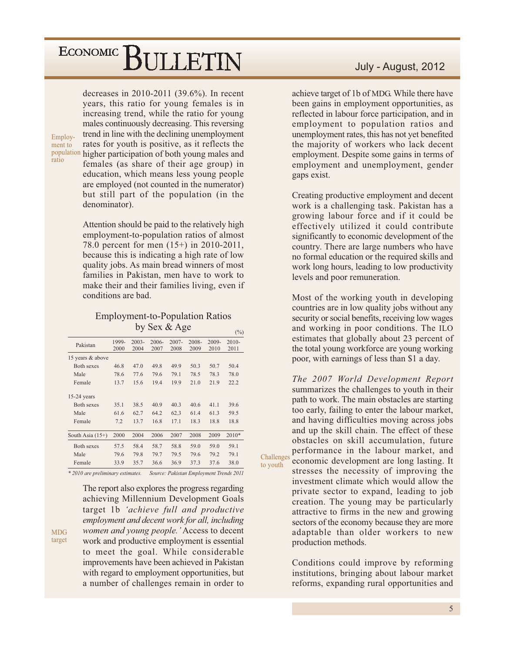decreases in 2010-2011  $(39.6\%)$ . In recent years, this ratio for young females is in increasing trend, while the ratio for young males continuously decreasing. This reversing trend in line with the declining unemployment rates for youth is positive, as it reflects the population higher participation of both young males and females (as share of their age group) in education, which means less young people are employed (not counted in the numerator) but still part of the population (in the denominator).

> Attention should be paid to the relatively high employment-to-population ratios of almost 78.0 percent for men (15+) in 2010-2011, because this is indicating a high rate of low quality jobs. As main bread winners of most families in Pakistan, men have to work to make their and their families living, even if conditions are bad.

#### **Employment-to-Population Ratios** by Sex & Age

 $(9/6)$ 

Challenges

to youth

| Pakistan           | 1999-<br>2000 | $2003 -$<br>2004 | 2006-<br>2007 | $2007 -$<br>2008 | 2008-<br>2009 | 2009-<br>2010 | $2010-$<br>2011 |
|--------------------|---------------|------------------|---------------|------------------|---------------|---------------|-----------------|
| 15 years & above   |               |                  |               |                  |               |               |                 |
| Both sexes         | 46.8          | 47.0             | 49.8          | 49.9             | 50.3          | 50.7          | 50.4            |
| Male               | 78.6          | 77.6             | 79.6          | 79.1             | 78.5          | 78.3          | 78.0            |
| Female             | 13.7          | 15.6             | 19.4          | 19.9             | 21.0          | 21.9          | 22.2            |
| $15-24$ years      |               |                  |               |                  |               |               |                 |
| Both sexes         | 35.1          | 38.5             | 40.9          | 40.3             | 40.6          | 41.1          | 39.6            |
| Male               | 61.6          | 62.7             | 64.2          | 62.3             | 61.4          | 61.3          | 59.5            |
| Female             | 7.2           | 13.7             | 16.8          | 17.1             | 18.3          | 18.8          | 18.8            |
| South Asia $(15+)$ | 2000          | 2004             | 2006          | 2007             | 2008          | 2009          | $2010*$         |
| Both sexes         | 57.5          | 58.4             | 58.7          | 58.8             | 59.0          | 59.0          | 59.1            |
| Male               | 79.6          | 79.8             | 79.7          | 79.5             | 79.6          | 79.2          | 79.1            |
| Female             | 33.9          | 35.7             | 36.6          | 36.9             | 37.3          | 37.6          | 38.0            |
|                    |               |                  |               |                  |               |               |                 |

\* 2010 are preliminary estimates. Source: Pakistan Employment Trends 2011

The report also explores the progress regarding achieving Millennium Development Goals target 1b 'achieve full and productive employment and decent work for all, including women and young people.' Access to decent work and productive employment is essential to meet the goal. While considerable improvements have been achieved in Pakistan with regard to employment opportunities, but a number of challenges remain in order to

#### July - August, 2012

achieve target of 1b of MDG. While there have been gains in employment opportunities, as reflected in labour force participation, and in employment to population ratios and unemployment rates, this has not yet benefited the majority of workers who lack decent employment. Despite some gains in terms of employment and unemployment, gender gaps exist.

Creating productive employment and decent work is a challenging task. Pakistan has a growing labour force and if it could be effectively utilized it could contribute significantly to economic development of the country. There are large numbers who have no formal education or the required skills and work long hours, leading to low productivity levels and poor remuneration.

Most of the working youth in developing countries are in low quality jobs without any security or social benefits, receiving low wages and working in poor conditions. The ILO estimates that globally about 23 percent of the total young workforce are young working poor, with earnings of less than \$1 a day.

The 2007 World Development Report summarizes the challenges to youth in their path to work. The main obstacles are starting too early, failing to enter the labour market, and having difficulties moving across jobs and up the skill chain. The effect of these obstacles on skill accumulation, future performance in the labour market, and economic development are long lasting. It stresses the necessity of improving the investment climate which would allow the private sector to expand, leading to job creation. The young may be particularly attractive to firms in the new and growing sectors of the economy because they are more adaptable than older workers to new

Conditions could improve by reforming institutions, bringing about labour market reforms, expanding rural opportunities and

production methods.

Employ-

ment to

ratio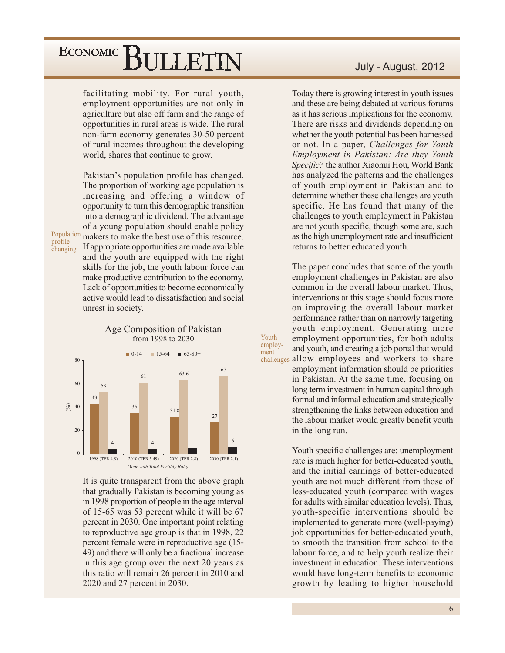facilitating mobility. For rural youth, employment opportunities are not only in agriculture but also off farm and the range of opportunities in rural areas is wide. The rural non-farm economy generates 30-50 percent of rural incomes throughout the developing world, shares that continue to grow.

Pakistan's population profile has changed. The proportion of working age population is increasing and offering a window of opportunity to turn this demographic transition into a demographic dividend. The advantage of a young population should enable policy Population makers to make the best use of this resource. If appropriate opportunities are made available and the youth are equipped with the right skills for the job, the youth labour force can make productive contribution to the economy. Lack of opportunities to become economically active would lead to dissatisfaction and social unrest in society.

Age Composition of Pakistan



profile

changing



It is quite transparent from the above graph that gradually Pakistan is becoming young as in 1998 proportion of people in the age interval of 15-65 was 53 percent while it will be 67 percent in 2030. One important point relating to reproductive age group is that in 1998, 22 percent female were in reproductive age (15-49) and there will only be a fractional increase in this age group over the next 20 years as this ratio will remain 26 percent in 2010 and 2020 and 27 percent in 2030.

#### July - August, 2012

Today there is growing interest in youth issues and these are being debated at various forums as it has serious implications for the economy. There are risks and dividends depending on whether the youth potential has been harnessed or not. In a paper, Challenges for Youth Employment in Pakistan: Are they Youth Specific? the author Xiaohui Hou, World Bank has analyzed the patterns and the challenges of youth employment in Pakistan and to determine whether these challenges are youth specific. He has found that many of the challenges to youth employment in Pakistan are not youth specific, though some are, such as the high unemployment rate and insufficient returns to better educated youth.

The paper concludes that some of the youth employment challenges in Pakistan are also common in the overall labour market. Thus, interventions at this stage should focus more on improving the overall labour market performance rather than on narrowly targeting youth employment. Generating more employment opportunities, for both adults and youth, and creating a job portal that would challenges allow employees and workers to share employment information should be priorities in Pakistan. At the same time, focusing on long term investment in human capital through formal and informal education and strategically strengthening the links between education and

the labour market would greatly benefit youth

in the long run.

Youth

ment

employ-

Youth specific challenges are: unemployment rate is much higher for better-educated youth, and the initial earnings of better-educated youth are not much different from those of less-educated youth (compared with wages) for adults with similar education levels). Thus, youth-specific interventions should be implemented to generate more (well-paying) job opportunities for better-educated youth. to smooth the transition from school to the labour force, and to help youth realize their investment in education. These interventions would have long-term benefits to economic growth by leading to higher household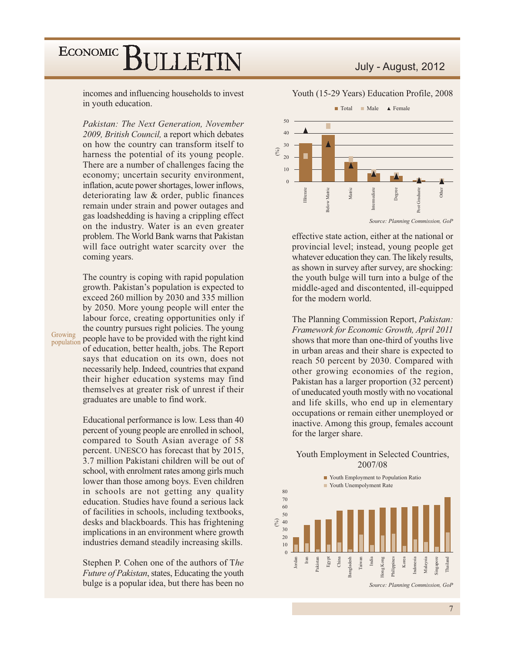incomes and influencing households to invest in youth education.

Pakistan: The Next Generation, November 2009, British Council, a report which debates on how the country can transform itself to harness the potential of its young people. There are a number of challenges facing the economy; uncertain security environment, inflation, acute power shortages, lower inflows, deteriorating law & order, public finances remain under strain and power outages and gas loadshedding is having a crippling effect on the industry. Water is an even greater problem. The World Bank warns that Pakistan will face outright water scarcity over the coming years.

The country is coping with rapid population growth. Pakistan's population is expected to exceed 260 million by 2030 and 335 million by 2050. More young people will enter the labour force, creating opportunities only if the country pursues right policies. The young people have to be provided with the right kind of education, better health, jobs. The Report says that education on its own, does not necessarily help. Indeed, countries that expand their higher education systems may find themselves at greater risk of unrest if their graduates are unable to find work.

Growing

population

Educational performance is low. Less than 40 percent of young people are enrolled in school, compared to South Asian average of 58 percent. UNESCO has forecast that by 2015, 3.7 million Pakistani children will be out of school, with enrolment rates among girls much lower than those among boys. Even children in schools are not getting any quality education. Studies have found a serious lack of facilities in schools, including textbooks, desks and blackboards. This has frightening implications in an environment where growth industries demand steadily increasing skills.

Stephen P. Cohen one of the authors of The *Future of Pakistan*, states, Educating the youth bulge is a popular idea, but there has been no

#### July - August, 2012

Youth (15-29 Years) Education Profile, 2008



effective state action, either at the national or provincial level; instead, young people get whatever education they can. The likely results, as shown in survey after survey, are shocking: the youth bulge will turn into a bulge of the middle-aged and discontented, ill-equipped for the modern world.

The Planning Commission Report, Pakistan: Framework for Economic Growth, April 2011 shows that more than one-third of youths live in urban areas and their share is expected to reach 50 percent by 2030. Compared with other growing economies of the region, Pakistan has a larger proportion (32 percent) of uneducated youth mostly with no vocational and life skills, who end up in elementary occupations or remain either unemployed or inactive. Among this group, females account for the larger share.

#### Youth Employment in Selected Countries, 2007/08

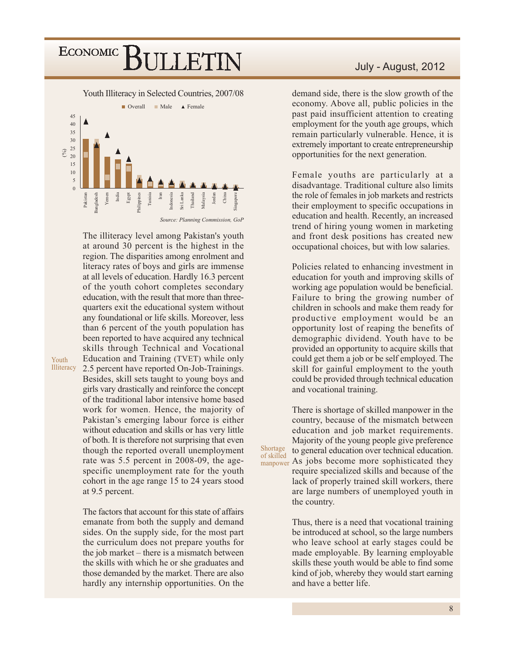Youth Illiteracy in Selected Countries, 2007/08



The illiteracy level among Pakistan's youth at around 30 percent is the highest in the region. The disparities among enrolment and literacy rates of boys and girls are immense at all levels of education. Hardly 16.3 percent of the youth cohort completes secondary education, with the result that more than threequarters exit the educational system without any foundational or life skills. Moreover, less than 6 percent of the youth population has been reported to have acquired any technical skills through Technical and Vocational Education and Training (TVET) while only Illiteracy 2.5 percent have reported On-Job-Trainings. Besides, skill sets taught to young boys and girls vary drastically and reinforce the concept of the traditional labor intensive home based work for women. Hence, the majority of Pakistan's emerging labour force is either without education and skills or has very little of both. It is therefore not surprising that even though the reported overall unemployment rate was 5.5 percent in 2008-09, the agespecific unemployment rate for the youth cohort in the age range 15 to 24 years stood at 9.5 percent.

Youth

The factors that account for this state of affairs emanate from both the supply and demand sides. On the supply side, for the most part the curriculum does not prepare youths for the job market  $-$  there is a mismatch between the skills with which he or she graduates and those demanded by the market. There are also hardly any internship opportunities. On the

demand side, there is the slow growth of the economy. Above all, public policies in the past paid insufficient attention to creating employment for the youth age groups, which remain particularly vulnerable. Hence, it is extremely important to create entrepreneurship opportunities for the next generation.

Female youths are particularly at a disadvantage. Traditional culture also limits the role of females in job markets and restricts their employment to specific occupations in education and health. Recently, an increased trend of hiring young women in marketing and front desk positions has created new occupational choices, but with low salaries.

Policies related to enhancing investment in education for youth and improving skills of working age population would be beneficial. Failure to bring the growing number of children in schools and make them ready for productive employment would be an opportunity lost of reaping the benefits of demographic dividend. Youth have to be provided an opportunity to acquire skills that could get them a job or be self employed. The skill for gainful employment to the youth could be provided through technical education and vocational training.

There is shortage of skilled manpower in the country, because of the mismatch between education and job market requirements. Majority of the young people give preference to general education over technical education. manpower As jobs become more sophisticated they require specialized skills and because of the

Shortage

of skilled

lack of properly trained skill workers, there are large numbers of unemployed youth in the country.

Thus, there is a need that vocational training be introduced at school, so the large numbers who leave school at early stages could be made employable. By learning employable skills these youth would be able to find some kind of job, whereby they would start earning and have a better life.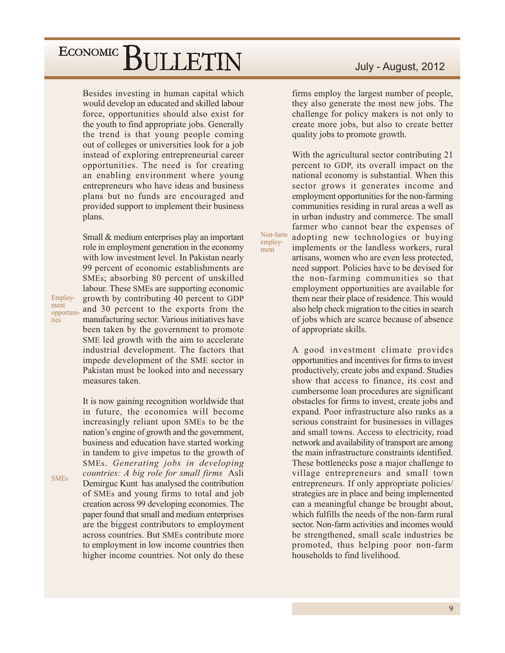Besides investing in human capital which would develop an educated and skilled labour force, opportunities should also exist for the youth to find appropriate jobs. Generally the trend is that young people coming out of colleges or universities look for a job instead of exploring entrepreneurial career opportunities. The need is for creating an enabling environment where young entrepreneurs who have ideas and business plans but no funds are encouraged and provided support to implement their business plans.

Small & medium enterprises play an important role in employment generation in the economy with low investment level. In Pakistan nearly 99 percent of economic establishments are SMEs; absorbing 80 percent of unskilled labour. These SMEs are supporting economic growth by contributing 40 percent to GDP and 30 percent to the exports from the manufacturing sector. Various initiatives have been taken by the government to promote SME led growth with the aim to accelerate industrial development. The factors that impede development of the SME sector in Pakistan must be looked into and necessary measures taken.

Employ-

opportuni-

ment

ties

**SMEs** 

It is now gaining recognition worldwide that in future, the economies will become increasingly reliant upon SMEs to be the nation's engine of growth and the government, business and education have started working in tandem to give impetus to the growth of SMEs. Generating jobs in developing countries: A big role for small firms Asli Demirguc Kunt has analysed the contribution of SMEs and young firms to total and job creation across 99 developing economies. The paper found that small and medium enterprises are the biggest contributors to employment across countries. But SMEs contribute more to employment in low income countries then higher income countries. Not only do these

#### July - August, 2012

firms employ the largest number of people, they also generate the most new jobs. The challenge for policy makers is not only to create more jobs, but also to create better quality jobs to promote growth.

With the agricultural sector contributing 21 percent to GDP, its overall impact on the national economy is substantial. When this sector grows it generates income and employment opportunities for the non-farming communities residing in rural areas a well as in urban industry and commerce. The small farmer who cannot bear the expenses of adopting new technologies or buying implements or the landless workers, rural artisans, women who are even less protected, need support. Policies have to be devised for the non-farming communities so that employment opportunities are available for them near their place of residence. This would also help check migration to the cities in search of jobs which are scarce because of absence of appropriate skills.

Non-farm

employ-

ment

A good investment climate provides opportunities and incentives for firms to invest productively, create jobs and expand. Studies show that access to finance, its cost and cumbersome loan procedures are significant obstacles for firms to invest, create jobs and expand. Poor infrastructure also ranks as a serious constraint for businesses in villages and small towns. Access to electricity, road network and availability of transport are among the main infrastructure constraints identified. These bottlenecks pose a major challenge to village entrepreneurs and small town entrepreneurs. If only appropriate policies/ strategies are in place and being implemented can a meaningful change be brought about, which fulfills the needs of the non-farm rural sector. Non-farm activities and incomes would be strengthened, small scale industries be promoted, thus helping poor non-farm households to find livelihood.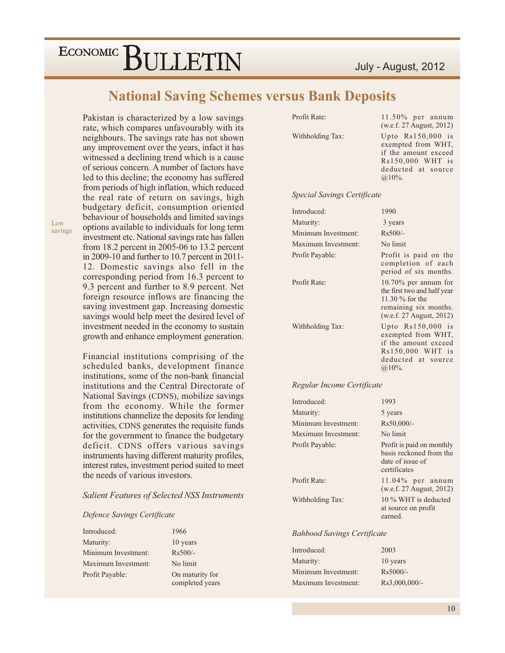#### **National Saving Schemes versus Bank Deposits**

Pakistan is characterized by a low savings rate, which compares unfavourably with its neighbours. The savings rate has not shown any improvement over the years, infact it has witnessed a declining trend which is a cause of serious concern. A number of factors have led to this decline; the economy has suffered from periods of high inflation, which reduced the real rate of return on savings, high budgetary deficit, consumption oriented behaviour of households and limited savings options available to individuals for long term investment etc. National savings rate has fallen from 18.2 percent in 2005-06 to 13.2 percent in 2009-10 and further to 10.7 percent in 2011-12. Domestic savings also fell in the corresponding period from 16.3 percent to 9.3 percent and further to 8.9 percent. Net foreign resource inflows are financing the saving investment gap. Increasing domestic savings would help meet the desired level of investment needed in the economy to sustain growth and enhance employment generation.

Financial institutions comprising of the scheduled banks, development finance institutions, some of the non-bank financial institutions and the Central Directorate of National Savings (CDNS), mobilize savings from the economy. While the former institutions channelize the deposits for lending activities, CDNS generates the requisite funds for the government to finance the budgetary deficit. CDNS offers various savings instruments having different maturity profiles, interest rates, investment period suited to meet the needs of various investors.

#### **Salient Features of Selected NSS Instruments**

#### Defence Savings Certificate

| Introduced:         | 1966            |
|---------------------|-----------------|
| Maturity:           | 10 years        |
| Minimum Investment: | $Rs500/-$       |
| Maximum Investment: | No limit        |
| Profit Payable:     | On maturity for |
|                     | completed years |

Withholding Tax:

 $11.50\%$  per annum (w.e.f. 27 August, 2012) Upto Rs150,000 is exempted from WHT, if the amount exceed Rs150,000 WHT is deducted at source  $@10\%$ .

#### **Special Savings Certificate**

| Introduced:         | 1990                                                                                                                             |
|---------------------|----------------------------------------------------------------------------------------------------------------------------------|
| Maturity:           | 3 years                                                                                                                          |
| Minimum Investment: | $Rs500/-$                                                                                                                        |
| Maximum Investment: | No limit                                                                                                                         |
| Profit Payable:     | Profit is paid on the<br>completion of each<br>period of six months.                                                             |
| Profit Rate:        | $10.70\%$ per annum for<br>the first two and half year<br>11.30 $%$ for the<br>remaining six months.<br>(w.e.f. 27 August, 2012) |
| Withholding Tax:    | Upto $Rs150,000$ is<br>exempted from WHT,<br>if the amount exceed<br>Rs150,000 WHT is<br>deducted at source<br>$(a.10\%).$       |

#### Regular Income Certificate

| Introduced:         | 1993                                                                                     |
|---------------------|------------------------------------------------------------------------------------------|
| Maturity:           | 5 years                                                                                  |
| Minimum Investment: | Rs50,000/-                                                                               |
| Maximum Investment: | No limit                                                                                 |
| Profit Payable:     | Profit is paid on monthly<br>basis reckoned from the<br>date of issue of<br>certificates |
| Profit Rate:        | $11.04\%$ per annum<br>(w.e.f. 27 August, 2012)                                          |
| Withholding Tax:    | 10 % WHT is deducted<br>at source on profit<br>earned                                    |

#### **Bahbood Savings Certificate**

| Introduced:         | 2003          |
|---------------------|---------------|
| Maturity:           | 10 years      |
| Minimum Investment: | $Rs5000/-$    |
| Maximum Investment: | Rs3,000,000/- |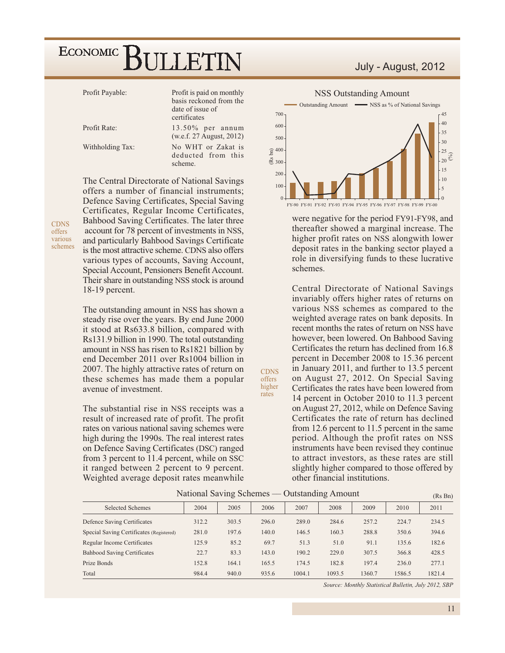| Profit Payable:  | Profit is paid on monthly<br>basis reckoned from the<br>date of issue of<br>certificates |
|------------------|------------------------------------------------------------------------------------------|
| Profit Rate:     | $13.50\%$ per annum<br>(w.e.f. 27 August, 2012)                                          |
| Withholding Tax: | No WHT or Zakat is<br>deducted from this<br>scheme.                                      |

**CDNS** offers various schemes The Central Directorate of National Savings offers a number of financial instruments; Defence Saving Certificates, Special Saving Certificates, Regular Income Certificates, Bahbood Saving Certificates. The later three account for 78 percent of investments in NSS, and particularly Bahbood Savings Certificate is the most attractive scheme. CDNS also offers various types of accounts, Saving Account, Special Account, Pensioners Benefit Account. Their share in outstanding NSS stock is around 18-19 percent.

The outstanding amount in NSS has shown a steady rise over the years. By end June 2000 it stood at Rs633.8 billion, compared with Rs131.9 billion in 1990. The total outstanding amount in NSS has risen to Rs1821 billion by end December 2011 over Rs1004 billion in 2007. The highly attractive rates of return on these schemes has made them a popular avenue of investment.

The substantial rise in NSS receipts was a result of increased rate of profit. The profit rates on various national saving schemes were high during the 1990s. The real interest rates on Defence Saving Certificates (DSC) ranged from 3 percent to 11.4 percent, while on SSC it ranged between 2 percent to 9 percent. Weighted average deposit rates meanwhile



700

600

July - August, 2012



were negative for the period FY91-FY98, and thereafter showed a marginal increase. The higher profit rates on NSS alongwith lower deposit rates in the banking sector played a role in diversifying funds to these lucrative schemes.

Central Directorate of National Savings invariably offers higher rates of returns on various NSS schemes as compared to the weighted average rates on bank deposits. In recent months the rates of return on NSS have however, been lowered. On Bahbood Saving Certificates the return has declined from 16.8 percent in December 2008 to 15.36 percent in January 2011, and further to 13.5 percent on August 27, 2012. On Special Saving Certificates the rates have been lowered from 14 percent in October 2010 to 11.3 percent on August 27, 2012, while on Defence Saving Certificates the rate of return has declined from 12.6 percent to 11.5 percent in the same period. Although the profit rates on NSS instruments have been revised they continue to attract investors, as these rates are still slightly higher compared to those offered by other financial institutions.

| National Saving Schemes — Outstanding Amount |       |       |       |        |        |        | (Rs Bn) |        |
|----------------------------------------------|-------|-------|-------|--------|--------|--------|---------|--------|
| <b>Selected Schemes</b>                      | 2004  | 2005  | 2006  | 2007   | 2008   | 2009   | 2010    | 2011   |
| Defence Saving Certificates                  | 312.2 | 303.5 | 296.0 | 289.0  | 284.6  | 257.2  | 224.7   | 234.5  |
| Special Saving Certificates (Registered)     | 281.0 | 197.6 | 140.0 | 146.5  | 160.3  | 288.8  | 350.6   | 394.6  |
| Regular Income Certificates                  | 125.9 | 85.2  | 69.7  | 51.3   | 51.0   | 91.1   | 135.6   | 182.6  |
| <b>Bahbood Saving Certificates</b>           | 22.7  | 83.3  | 143.0 | 190.2  | 229.0  | 307.5  | 366.8   | 428.5  |
| Prize Bonds                                  | 152.8 | 164.1 | 165.5 | 174.5  | 182.8  | 197.4  | 236.0   | 277.1  |
| Total                                        | 984.4 | 940.0 | 935.6 | 1004.1 | 1093.5 | 1360.7 | 1586.5  | 1821.4 |

**CDNS** 

offers higher

rates

Source: Monthly Statistical Bulletin, July 2012, SBP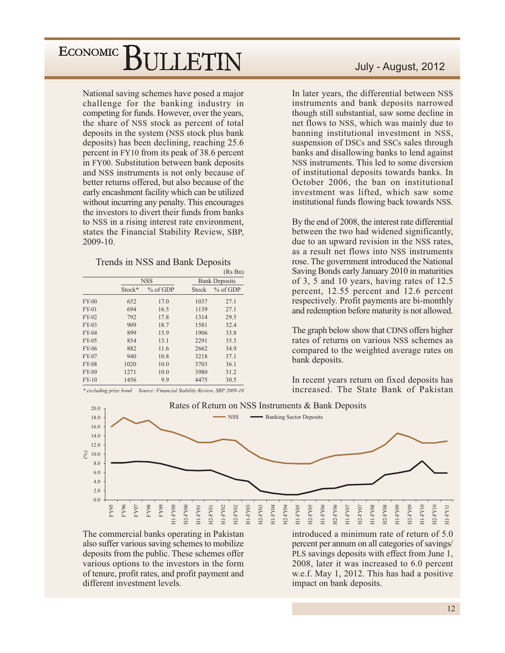National saving schemes have posed a major challenge for the banking industry in competing for funds. However, over the years, the share of NSS stock as percent of total deposits in the system (NSS stock plus bank deposits) has been declining, reaching 25.6 percent in FY10 from its peak of 38.6 percent in FY00. Substitution between bank deposits and NSS instruments is not only because of better returns offered, but also because of the early encashment facility which can be utilized without incurring any penalty. This encourages the investors to divert their funds from banks to NSS in a rising interest rate environment, states the Financial Stability Review, SBP,  $2009-10.$ 

|              |        |            |       | (Ks Bn)              |  |  |  |
|--------------|--------|------------|-------|----------------------|--|--|--|
|              |        | <b>NSS</b> |       | <b>Bank Deposits</b> |  |  |  |
|              | Stock* | $%$ of GDP | Stock | $%$ of GDP           |  |  |  |
| $FY-00$      | 652    | 17.0       | 1037  | 27.1                 |  |  |  |
| $FY-01$      | 694    | 16.5       | 1139  | 27.1                 |  |  |  |
| FY-02        | 792    | 17.8       | 1314  | 29.5                 |  |  |  |
| $FY-03$      | 909    | 18.7       | 1581  | 32.4                 |  |  |  |
| $FY-04$      | 899    | 15.9       | 1906  | 33.8                 |  |  |  |
| FY-05        | 854    | 13.1       | 2291  | 35.3                 |  |  |  |
| FY-06        | 882    | 11.6       | 2662  | 34.9                 |  |  |  |
| FY-07        | 940    | 10.8       | 3218  | 37.1                 |  |  |  |
| <b>FY-08</b> | 1020   | 10.0       | 3703  | 36.1                 |  |  |  |
| FY-09        | 1271   | 10.0       | 3980  | 31.2                 |  |  |  |
| $FY-10$      | 1456   | 9.9        | 4475  | 30.5                 |  |  |  |

\* excluding prize bond Source: Financial Stability Review, SBP 2009-10

#### July - August, 2012

In later years, the differential between NSS instruments and bank deposits narrowed though still substantial, saw some decline in net flows to NSS, which was mainly due to banning institutional investment in NSS, suspension of DSCs and SSCs sales through banks and disallowing banks to lend against NSS instruments. This led to some diversion of institutional deposits towards banks. In October 2006, the ban on institutional investment was lifted, which saw some institutional funds flowing back towards NSS.

By the end of 2008, the interest rate differential between the two had widened significantly, due to an upward revision in the NSS rates, as a result net flows into NSS instruments rose. The government introduced the National Saving Bonds early January 2010 in maturities of 3, 5 and 10 years, having rates of 12.5 percent, 12.55 percent and 12.6 percent respectively. Profit payments are bi-monthly and redemption before maturity is not allowed.

The graph below show that CDNS offers higher rates of returns on various NSS schemes as compared to the weighted average rates on bank deposits.

In recent years return on fixed deposits has increased. The State Bank of Pakistan



The commercial banks operating in Pakistan also suffer various saving schemes to mobilize deposits from the public. These schemes offer various options to the investors in the form of tenure, profit rates, and profit payment and different investment levels.

introduced a minimum rate of return of 5.0 percent per annum on all categories of savings/ PLS savings deposits with effect from June 1, 2008, later it was increased to 6.0 percent w.e.f. May 1, 2012. This has had a positive impact on bank deposits.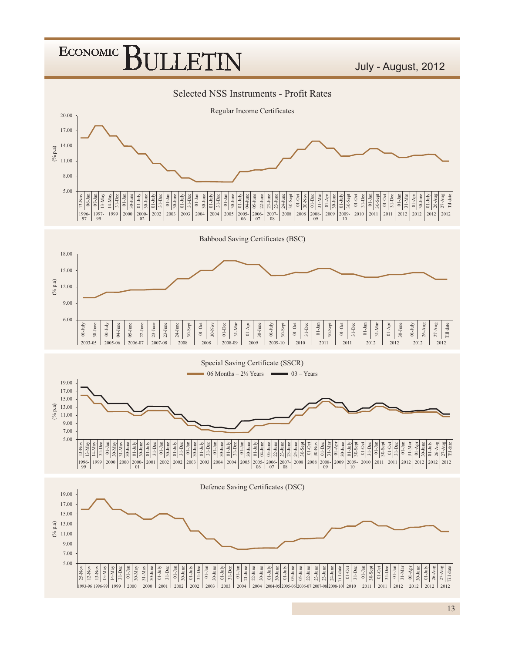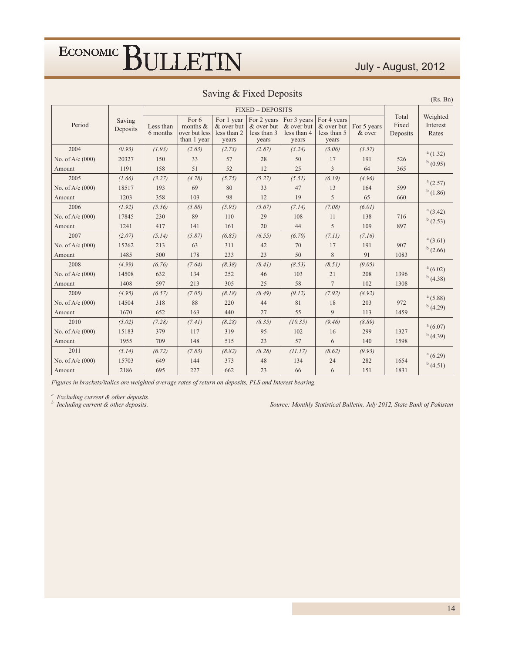#### July - August, 2012

 $(Rs. Bn)$ 

|                    |                    |                       |                                                   |                                                  | <b>FIXED - DEPOSITS</b>                           |                                                   |                                                   |                       |                            |                               |
|--------------------|--------------------|-----------------------|---------------------------------------------------|--------------------------------------------------|---------------------------------------------------|---------------------------------------------------|---------------------------------------------------|-----------------------|----------------------------|-------------------------------|
| Period             | Saving<br>Deposits | Less than<br>6 months | For 6<br>months &<br>over but less<br>than 1 year | For 1 year<br>& over but<br>less than 2<br>years | For 2 years<br>& over but<br>less than 3<br>years | For 3 years<br>& over but<br>less than 4<br>years | For 4 years<br>& over but<br>less than 5<br>years | For 5 years<br>& over | Total<br>Fixed<br>Deposits | Weighted<br>Interest<br>Rates |
| 2004               | (0.93)             | (1.93)                | (2.63)                                            | (2.73)                                           | (2.87)                                            | (3.24)                                            | (3.06)                                            | (3.57)                |                            | a(1.32)                       |
| No. of $A/c$ (000) | 20327              | 150                   | 33                                                | 57                                               | 28                                                | 50                                                | 17                                                | 191                   | 526                        | b(0.95)                       |
| Amount             | 1191               | 158                   | 51                                                | 52                                               | 12                                                | 25                                                | 3                                                 | 64                    | 365                        |                               |
| 2005               | (1.66)             | (3.27)                | (4.78)                                            | (5.75)                                           | (5.27)                                            | (5.51)                                            | (6.19)                                            | (4.96)                |                            | a(2.57)                       |
| No. of $A/c$ (000) | 18517              | 193                   | 69                                                | 80                                               | 33                                                | 47                                                | 13                                                | 164                   | 599                        | $^{b}$ (1.86)                 |
| Amount             | 1203               | 358                   | 103                                               | 98                                               | 12                                                | 19                                                | 5                                                 | 65                    | 660                        |                               |
| 2006               | (1.92)             | (5.56)                | (5.88)                                            | (5.95)                                           | (5.67)                                            | (7.14)                                            | (7.08)                                            | (6.01)                |                            | a(3.42)                       |
| No. of $A/c$ (000) | 17845              | 230                   | 89                                                | 110                                              | 29                                                | 108                                               | 11                                                | 138                   | 716                        | $^{b}$ (2.53)                 |
| Amount             | 1241               | 417                   | 141                                               | 161                                              | 20                                                | 44                                                | 5                                                 | 109                   | 897                        |                               |
| 2007               | (2.07)             | (5.14)                | (5.87)                                            | (6.85)                                           | (6.55)                                            | (6.70)                                            | (7.11)                                            | (7.16)                |                            | a(3.61)                       |
| No. of $A/c$ (000) | 15262              | 213                   | 63                                                | 311                                              | 42                                                | 70                                                | 17                                                | 191                   | 907                        | b(2.66)                       |
| Amount             | 1485               | 500                   | 178                                               | 233                                              | 23                                                | 50                                                | 8                                                 | 91                    | 1083                       |                               |
| 2008               | (4.99)             | (6.76)                | (7.64)                                            | (8.38)                                           | (8.41)                                            | (8.53)                                            | (8.51)                                            | (9.05)                |                            | a(6.02)                       |
| No. of $A/c$ (000) | 14508              | 632                   | 134                                               | 252                                              | 46                                                | 103                                               | 21                                                | 208                   | 1396                       | $^{b}$ (4.38)                 |
| Amount             | 1408               | 597                   | 213                                               | 305                                              | 25                                                | 58                                                | $\overline{7}$                                    | 102                   | 1308                       |                               |
| 2009               | (4.95)             | (6.57)                | (7.05)                                            | (8.18)                                           | (8.49)                                            | (9.12)                                            | (7.92)                                            | (8.92)                |                            | a(5.88)                       |
| No. of $A/c$ (000) | 14504              | 318                   | 88                                                | 220                                              | 44                                                | 81                                                | 18                                                | 203                   | 972                        | $^{b}$ (4.29)                 |
| Amount             | 1670               | 652                   | 163                                               | 440                                              | 27                                                | 55                                                | 9                                                 | 113                   | 1459                       |                               |
| 2010               | (5.02)             | (7.28)                | (7.41)                                            | (8.28)                                           | (8.35)                                            | (10.35)                                           | (9.46)                                            | (8.89)                |                            | a(6.07)                       |
| No. of $A/c$ (000) | 15183              | 379                   | 117                                               | 319                                              | 95                                                | 102                                               | 16                                                | 299                   | 1327                       | $^{b}$ (4.39)                 |
| Amount             | 1955               | 709                   | 148                                               | 515                                              | 23                                                | 57                                                | 6                                                 | 140                   | 1598                       |                               |
| 2011               | (5.14)             | (6.72)                | (7.83)                                            | (8.82)                                           | (8.28)                                            | (11.17)                                           | (8.62)                                            | (9.93)                |                            | a(6.29)                       |
| No. of A/c (000)   | 15703              | 649                   | 144                                               | 373                                              | 48                                                | 134                                               | 24                                                | 282                   | 1654                       | $^{b}$ (4.51)                 |
| Amount             | 2186               | 695                   | 227                                               | 662                                              | 23                                                | 66                                                | 6                                                 | 151                   | 1831                       |                               |

Figures in brackets/italics are weighted average rates of return on deposits, PLS and Interest bearing.

 $\int_{b}^{a}$  Excluding current & other deposits.<br>
Including current & other deposits.

Source: Monthly Statistical Bulletin, July 2012, State Bank of Pakistan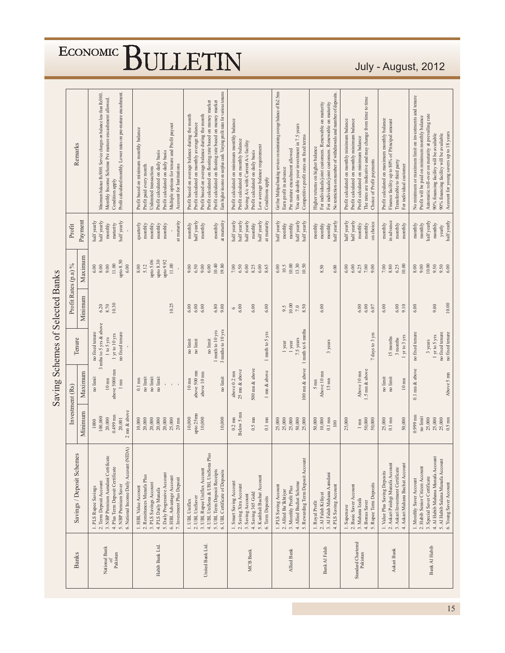|                                  | Remarks                   |         | Minimum balance Rs5000. Service charges on balance less than Rs5001.<br>Profit calculated monthly. Lower rates on pre-mature encashment.<br>Monthly Income Scheme Pre mature encashment allowed.<br>Condition apply | Multiple options for tenure and Profit payout<br>Profit based on minimum monthly balance<br>Profit calculated on daily basis<br>Profit calculated on daily basis<br>Profit paid every month<br>Account for Institutions<br>Unlimited transactions | Earn higher income on surplus cash. Varying profit rates for various tenures<br>Profit calculated on floating rate based on money market<br>Profit calculated on floating rate based on money market<br>Profit based on average balance during the month<br>Profit based on average balance during the month<br>Profit calculated on monthly average balance | Profit calculated on minimum monthly balance<br>Profit calculated on monthly balance<br>Saving A/c with Current A/c facility<br>Low average balance requirement<br>Profit calculated on daily basis<br>Conditions apply | Get free Multipal banking services on maintaining average balance of Rs2.5mm<br>You can double your investment in 7.5 years<br>Competitive profit rates on fixed terms<br>Pre mature encashment allowed<br>Earn profit in advance | No restriction on number of withdrawals and number of deposits<br>For individuals/joint customers. Renewable on maturity<br>For individuals/joint customers. Renewable on maturity<br>Higher returns on higher balance | The rates are indicative and may change from time to time<br>Profit calculated on monthly minimum balance<br>Profit calculated on monthly minimum balance<br>Profit calculated on minimum balance<br>Choice of Profit payments | Profit calculated on maximum monthly balance<br>Finance facility up to 80% of Principal amount<br>Transferable to third party<br>For individual customer | No minimum or maximum limit on investments and tenure<br>Automatic roll-over on maturity at prevailing rate<br>Profit will be paid on minimum monthly balance<br>Account for young savers up to 18 years<br>90% financing facility will be available<br>90% financing facility will be available |
|----------------------------------|---------------------------|---------|---------------------------------------------------------------------------------------------------------------------------------------------------------------------------------------------------------------------|---------------------------------------------------------------------------------------------------------------------------------------------------------------------------------------------------------------------------------------------------|--------------------------------------------------------------------------------------------------------------------------------------------------------------------------------------------------------------------------------------------------------------------------------------------------------------------------------------------------------------|-------------------------------------------------------------------------------------------------------------------------------------------------------------------------------------------------------------------------|-----------------------------------------------------------------------------------------------------------------------------------------------------------------------------------------------------------------------------------|------------------------------------------------------------------------------------------------------------------------------------------------------------------------------------------------------------------------|--------------------------------------------------------------------------------------------------------------------------------------------------------------------------------------------------------------------------------|----------------------------------------------------------------------------------------------------------------------------------------------------------|--------------------------------------------------------------------------------------------------------------------------------------------------------------------------------------------------------------------------------------------------------------------------------------------------|
|                                  | Profit                    | Payment | half yearly<br>nalf yearly<br>half yearly<br>maturity<br>monthly                                                                                                                                                    | at maturity<br>quarterly<br>monthly<br>monthly<br>monthly<br>monthly                                                                                                                                                                              | half yearly<br>at maturity<br>$\operatorname{month}$<br>monthly<br>monthly                                                                                                                                                                                                                                                                                   | half yearly<br>half yearly<br>half yearly<br>half yearly<br>at maturity<br>monthly                                                                                                                                      | half yearly<br>half yearly<br>half yearly<br>monthly<br>monthly                                                                                                                                                                   | half yearly<br>monthly<br>monthly<br>monthly                                                                                                                                                                           | half yearly<br>half yearly<br>on choice<br>monthly<br>monthly                                                                                                                                                                  | in advance<br>monthly<br>monthly<br>monthly                                                                                                              | half yearly<br>half yearly<br>monthly<br>monthly<br>monthly<br>yearly                                                                                                                                                                                                                            |
|                                  |                           | Maximum | upto 8.50<br>$11.00$<br>9.00<br>8.00<br>6.00<br>6.00                                                                                                                                                                | upto 5.06<br>upto 8.30<br>upto 9.92<br>$11.00\,$<br>8.00<br>5.12                                                                                                                                                                                  | 10.40<br>19.80<br>9.00<br>6.00<br>0.00<br>6.50                                                                                                                                                                                                                                                                                                               | 6.00<br>7.00<br>6.50<br>8.25<br>$6.00$<br>8.65                                                                                                                                                                          | 10.00<br>13.30<br>10.5<br>10.50<br>6.00                                                                                                                                                                                           | 8.50<br>6.00                                                                                                                                                                                                           | 6.00<br>$7.00\,$<br>6.00<br>6.25<br>9.00                                                                                                                                                                                       | 10.00<br>8.80<br>6.25<br>7.00                                                                                                                            | 10.00<br>9.50<br>9.50<br>8.00<br>9.00<br>6.00                                                                                                                                                                                                                                                    |
|                                  | Profit Rates (p.a) %      | Minimum | 10.30<br>8.70<br>6.20                                                                                                                                                                                               | 10.25                                                                                                                                                                                                                                             | $\;6.80\;$<br>6.00<br>6.00<br>6.00<br>9.00                                                                                                                                                                                                                                                                                                                   | 6.00<br>6.00<br>6.00<br>$\circ$                                                                                                                                                                                         | 10.00<br>9.5<br>$7.0\phantom{0}\phantom{0}3.50$                                                                                                                                                                                   | 6.00                                                                                                                                                                                                                   | $6.00$<br>6.00<br>6.07                                                                                                                                                                                                         | 6.00<br>9.10<br>6.00                                                                                                                                     | 10.00<br>9.00<br>6.00                                                                                                                                                                                                                                                                            |
|                                  | Tenure                    |         | 3 mths to 5 yrs & above<br>no fixed tenure<br>no fixed tenure<br>$1 \,\rm yr$ to $10 \,\rm yrs$<br>1 to 5 yrs                                                                                                       |                                                                                                                                                                                                                                                   | 3 mnths to 10 yrs<br>1 mnth to 10 yrs<br>no limit<br>no limit<br>$\mathop{\rm no}\nolimits$ limit                                                                                                                                                                                                                                                            | 1 mnth to 5 yrs                                                                                                                                                                                                         | 1 mnth to 6 mnths<br>7.5 years<br>1 year<br>1 year                                                                                                                                                                                | 3 years                                                                                                                                                                                                                | 7 days to 3 yrs                                                                                                                                                                                                                | 1 yr to 3 yrs<br>15 months<br>3 months                                                                                                                   | no fixed tenure<br>no fixed tenure<br>no fixed tenure<br>1 yr to 5 yrs<br>3 years                                                                                                                                                                                                                |
| Saving Schemes of Selected Banks | Investment (Rs)           | Maximum | above 5000 mm<br>no limit<br>$10\;{\rm nm}$<br>$1 \text{ mm}$                                                                                                                                                       | no limit<br>no limit<br>no limit<br>$0.1\;\mathrm{mm}$<br>$\mathbf{I}$                                                                                                                                                                            | above 500 mn<br>above 10 mn<br>no limit<br>$10\,\mathrm{mn}$                                                                                                                                                                                                                                                                                                 | 500 mm & above<br>25 mm & above<br>1 mn & above<br>above $0.2 \text{ mm}$                                                                                                                                               | 100 mn & above                                                                                                                                                                                                                    | Above 10 mn<br>$15 \text{ mm}$<br>$5 \text{ mm}$                                                                                                                                                                       | 1.5 mm & above<br>Above 10 mn                                                                                                                                                                                                  | no limit<br>no limit<br>$10\ \mathrm{nm}$                                                                                                                | $0.1$ mn $\&$ above<br>Above 5 mn                                                                                                                                                                                                                                                                |
|                                  |                           | Minimum | $2 \text{ nm}$ & above<br>$0.499$ mn<br>100,000<br>20,000<br>20,001<br>1000                                                                                                                                         | 20,000<br>20,000<br>25,000<br>20,000<br>20,000<br>10,000<br>$20\ \mathrm{mm}$                                                                                                                                                                     | upto 25mm<br>10,000<br>10,000<br>10,000                                                                                                                                                                                                                                                                                                                      | Below 5 mm<br>$0.5 \text{ mm}$<br>$0.2~\mathrm{mm}$<br>$0.1\ \mathrm{mm}$                                                                                                                                               | 25,000<br>25,000<br>50,000<br>25,000<br>25,000                                                                                                                                                                                    | 10,000<br>50,000<br>$0.1\;\mathrm{mm}$<br>100                                                                                                                                                                          | 50,000<br>25,000<br>50,000<br>$\ensuremath{\mathsf{I}}$ mn                                                                                                                                                                     | 25,000<br>$0.1\;\mathrm{mm}$<br>50,000                                                                                                                   | $0.999$ mm<br>no limit<br>25,000<br>25,000<br>25,000<br>$0.5 \text{ mm}$                                                                                                                                                                                                                         |
|                                  | Savings / Deposit Schemes |         | 6. National Income Daily Account (NIDA)<br>3. NBP Premium Aamdani Certificate<br>4. Plus Term Deposit Certificate<br>2. Term Deposit Account<br>5. NBP Premium Saver<br>1. PLS Rupee Savings                        | 5. Daily Progressive Account<br>2. Remittances Munafa Plus<br>6. HBL Advantage Account<br>7. Investment Plus Deposit<br>3. PLS Savings Account<br>1. HBL Value Account<br>4. PLS Daily Munafa                                                     | 4. UBL UniSona & UBL UniSona Plus<br>3. UBL Rupee Uniflex Account<br>5. UBL Term Deposit Receipts<br>6. UBL Certificate of Deposits<br>2. UBL UniSaver<br>1. UBL Uniflex                                                                                                                                                                                     | 5. Kushhali Bachat Account<br>1. Smart Saving Account<br>2. Saving Xtra Account<br>4. Saving 365 Gold<br>3. Saving Account<br>6. Term Deposits                                                                          | 5. Rewarding Term Deposit Account<br>4. Allied Buchat Scheme<br>1. PLS Saving Account<br>3. Monthly Profit Plus<br>2. Allied Ba'lkhtiyar                                                                                          | 3. Al Falah Mahana Aamdani<br>4. PLS Saving Account<br>2. Al Falah Kifayat<br>1. Royal Profit                                                                                                                          | 5. Rupee Term Deposits<br>2. Basic Saver Account<br>3. Mahana Izafa<br>4. Bonus Saver<br>1. Supersave                                                                                                                          | 2. Askari Paishgi Munafa Account<br>4. Askari Mahana Bachat Account<br>3. Askari Investment Certificate<br>1. Value Plus Saving Deposits                 | 4. Al Habib Mahana Munafa Account<br>5. Al Habib Salana Munafa Account<br>2. Habib Senior Citizen Account<br>3. Special Saver Certificate<br>1. Monthly Saver Account<br>6. Young Saver Account                                                                                                  |
|                                  | <b>Banks</b>              |         | National Bank<br>Pakistan                                                                                                                                                                                           | Habib Bank Ltd.                                                                                                                                                                                                                                   | United Bank Ltd.                                                                                                                                                                                                                                                                                                                                             | <b>MCB Bank</b>                                                                                                                                                                                                         | Allied Bank                                                                                                                                                                                                                       | Bank Al Falah                                                                                                                                                                                                          | Standard Chartered<br>Pakistan                                                                                                                                                                                                 | Askari Bank                                                                                                                                              | Bank Al Habib                                                                                                                                                                                                                                                                                    |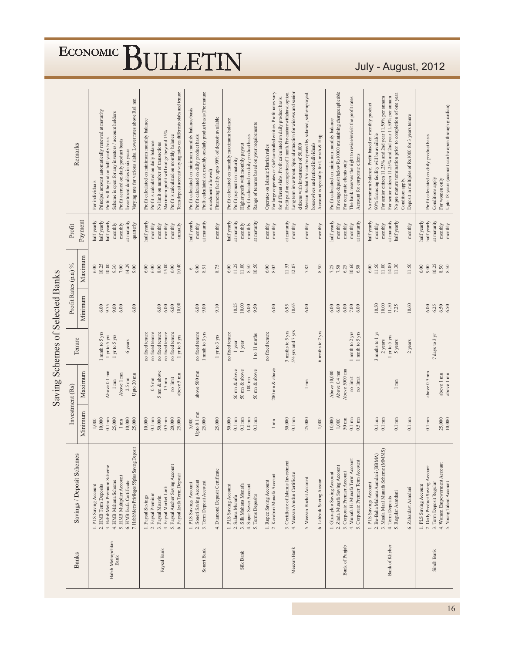|                                  | Remarks                   |         | Principal amount automatically renewed at maturity<br>For individuals | Profit will be paid on half yearly basis | Scheme is open for any investors / account holders | Profit accrued on daily product basis | Varying rate for various slabs. Lower rates above Rs1 mn<br>Investment doubles in six years | Profit calculated on minimum monthly balance<br>Profit is calculated on daily balance | No limit on number of transactions | Maximum profit will not go beyond 15% | Profit is calculated on monthly balance | Term deposit account varying rates on differents slabs and tenure | Profit calculated on minimum monthly balance basis | Profit calculated on daily product basis | Profit calculated six monthly on daily product basis (Pre mature<br>encashment allowed) | Financing facility upto 90% of deposit available | Profit calculated on monthly maximum balance | Profit payment on maturity                         | Profit calculated on daily product basis<br>Higher profit with monthly payout | Range of tenures based on your requirements | Operates on Islamic Shariah rules | For large coperates or GoP controlled entities. Profit rates vary | for different slabs. Profit calculated on daily product basis. | Profit paid on completion of 1 mnth. Pre-mature withdrawl option. | Long term investment. Special attraction for widows and senior<br>citizens with investment of 50,000 | Meezan Bachat A/c can be opened by salaried, self-employed, | housewives and retired individuals | Account is specially for Umrah & Hajj | Profit calculated on minimum monthly balance | If average deposit below Rs10000 maintaining charges aplicable | For corporate clients only   | The bank reserves the right to revise/revisit the profit rates | Account for corporate clients     | No minimum balance. Profit based on monthly product | For senior citizen 11.25% and 2nd year 11.50% per amum<br>90% financing facility will be available | For senior citizen 11.25% and 2nd year 11.50% per annum | No pre mature termination prior to completion of one year. | Condition apply. | Deposit in multiples of Rs1000 for 3 years tenure |                       | Profit calculated on daily product basis | Conditions apply        | Upto 18 years (account can be open through guardian)<br>For women only |                        |
|----------------------------------|---------------------------|---------|-----------------------------------------------------------------------|------------------------------------------|----------------------------------------------------|---------------------------------------|---------------------------------------------------------------------------------------------|---------------------------------------------------------------------------------------|------------------------------------|---------------------------------------|-----------------------------------------|-------------------------------------------------------------------|----------------------------------------------------|------------------------------------------|-----------------------------------------------------------------------------------------|--------------------------------------------------|----------------------------------------------|----------------------------------------------------|-------------------------------------------------------------------------------|---------------------------------------------|-----------------------------------|-------------------------------------------------------------------|----------------------------------------------------------------|-------------------------------------------------------------------|------------------------------------------------------------------------------------------------------|-------------------------------------------------------------|------------------------------------|---------------------------------------|----------------------------------------------|----------------------------------------------------------------|------------------------------|----------------------------------------------------------------|-----------------------------------|-----------------------------------------------------|----------------------------------------------------------------------------------------------------|---------------------------------------------------------|------------------------------------------------------------|------------------|---------------------------------------------------|-----------------------|------------------------------------------|-------------------------|------------------------------------------------------------------------|------------------------|
|                                  | Profit                    | Payment | half yearly<br>half yearly                                            | half yearly                              | monthly                                            | monthly                               | at maturity<br>quarterly                                                                    | half yearly<br>monthly                                                                | monthly                            | monthly                               | monthly                                 | annually                                                          | half yearly                                        | monthly                                  | at maturity                                                                             | monthly                                          | half yearly                                  | at maturity<br>monthly                             | monthly                                                                       | at maturity                                 | monthly                           | monthly                                                           |                                                                | at maturity                                                       | monthly                                                                                              | monthly                                                     |                                    | monthly                               | half yearly                                  | monthly                                                        | monthly                      | monthly                                                        | at maturity                       | half yearly                                         | monthly<br>monthly                                                                                 | at maturity                                             | nalf yearly                                                |                  | monthly                                           | half yearly           | half yearly                              | at maturity             | monthly                                                                | $\operatorname{month}$ |
|                                  |                           | Maximum | 10.25<br>6.00                                                         | 10.00                                    | 9.30                                               | $7.00\,$                              | 14.29<br>0.00                                                                               | 6.00<br>$6.00$                                                                        | 8.00                               | 15.00                                 | 6.00                                    | 10.40                                                             | 6                                                  | 9.00                                     | 8.51                                                                                    | 8.75                                             | 6.00                                         | 11.25<br>11.00                                     | 8.50                                                                          | 10.50                                       | 6.00                              | 8.02                                                              |                                                                | 11.53                                                             | 12.07                                                                                                | 7.82                                                        |                                    | 8.50                                  |                                              | $7.25$<br>7.50                                                 | 6.25                         | 10.60                                                          | 6.50                              | 6.00                                                | 11.50<br>11.00                                                                                     | 14.00                                                   | 11.30                                                      |                  | 11.50                                             | 6.00                  | 0.60                                     | 10.25                   | $8.50$<br>$8.50$                                                       |                        |
|                                  | Profit Rates (p.a) %      | Minimum | 6.00                                                                  | 9.75                                     | 0.66                                               | 6.00                                  | 6.00                                                                                        |                                                                                       | 6.00                               | 6.00                                  | 6.00                                    | 10.00                                                             |                                                    | $6.00$<br>9.00                           |                                                                                         | 9.10                                             |                                              | 10.25<br>10.00                                     | $6.00$                                                                        | 9.50                                        |                                   | 6.00                                                              |                                                                | 6.95                                                              | 10.65                                                                                                | 6.00                                                        |                                    |                                       | $6.00$                                       | $6.00$                                                         | 6.00                         | $7.00$<br>6.00                                                 |                                   |                                                     | 10.50<br>10.00                                                                                     | 11.50                                                   | 7.25                                                       |                  | 10.60                                             |                       | 6.00                                     |                         | $6.35$<br>$6.50$                                                       |                        |
|                                  | Tenure                    |         | mnth to 5 yrs                                                         | 1 yr to 5 yrs                            | 1 yr to 5 yrs                                      |                                       | 6 years                                                                                     | no fixed tenure<br>no fixed tenure                                                    | no fixed tenure                    | no fixed tenure                       | no fixed tenure                         | $1 \times 100$ yrs                                                |                                                    | no fixed tenure                          | 1 mnth to 3 yrs                                                                         | 1 yr to 3 yrs                                    | no fixed tenure                              | 1 year                                             | 1 year                                                                        | 1 to 11 mnths                               | no fixed tenure                   |                                                                   |                                                                | 3 mnths to 5 yrs                                                  | $5\frac{1}{2}$ yrs and 7 yrs                                                                         |                                                             |                                    | 6 mnths to 2 yrs                      |                                              |                                                                |                              | $1$ mnth to $2 ~\rm{yrs}$                                      | $\mbox{mnth}$ to 5 yrs            |                                                     | 3 mnths to 1 yr<br>2 years                                                                         | 1 yr to 5 yrs                                           | 5 years                                                    |                  | $2$ years                                         |                       |                                          | 7 days to 3 yr          |                                                                        |                        |
| Saving Schemes of Selected Banks | Investment (Rs)           | Maximum |                                                                       | Above 0.1 mn                             | $1 \text{ mm}$                                     | Above 1 mn                            | Upto 20 mn<br>$2.5~\mathrm{mm}$                                                             | $0.5~\rm{mm}$                                                                         | 5 mn & above                       | $15 \text{ mm}$                       | no limit                                | above 5 mn                                                        |                                                    | above 500 mm                             |                                                                                         |                                                  |                                              | $50 \text{ nm}$ & above<br>$50 \text{ nm}$ & above | $100\;{\rm nm}$                                                               | 50 mn & above                               |                                   | $200$ mn $\&$ above                                               |                                                                |                                                                   |                                                                                                      | $1 \text{ mm}$                                              |                                    |                                       | Above 10,000                                 | Above 0.4 mn                                                   | Above 5000 mm                | no limit                                                       | no limit                          |                                                     |                                                                                                    |                                                         | $1 \text{ mm}$                                             |                  |                                                   |                       | above 0.5 mn                             |                         | above 1 mn<br>above 1 mn                                               |                        |
|                                  |                           | Minimum | 10,000<br>1,000                                                       | $0.1~\mathrm{mm}$                        | 25,000                                             | $1 \text{ mm}$                        | 10,000<br>$25{,}000$                                                                        | 10,000<br>$0.1\;\mathrm{mm}$                                                          | 50,000                             | $0.5~\mathrm{mm}$                     | 20,000                                  | 25,000                                                            | 5,000                                              | Upto 0.1 mn                              | 25,000                                                                                  | 25,000                                           | 50,000                                       | $0.1\;\mathrm{mm}$<br>$0.1\;\mathrm{mm}$           | $1.0\ \mathrm{nm}$                                                            | $0.1\;\mathrm{nm}$                          |                                   | $1\ \mathrm{mm}$                                                  |                                                                | 50,000                                                            | $0.1\ \mathrm{mm}$                                                                                   | 25,000                                                      |                                    | 1,000                                 | 10,000                                       | 1,000                                                          | $50~\mathrm{nm}$             | $0.1\;\mathrm{mm}$                                             | $0.5~\mathrm{mm}$                 |                                                     | $0.1\;\mathrm{mm}$<br>$0.1 \text{ mm}$                                                             |                                                         | $0.1\ \mathrm{mm}$                                         |                  | $0.1\ \mathrm{nm}$                                |                       | $0.1\;\mathrm{mm}$                       |                         | 25,000<br>10,000                                                       |                        |
|                                  | Savings / Deposit Schemes |         | 2. HMB Term Deposits<br>1. PLS Saving Account                         | 3. HabibMetro Premium Scheme             | 4. HMB Mahana Scheme                               | 5. HMB Multiplier Account             | 7. HabibMetro Privileges 55plus Saving Deposit<br>6. HMB Izafa Certificate                  | 2. Faysal Premium<br>1. Faysal Savings                                                | 3. Faysal Moavin                   | 4. Faysal Market Link                 | 5. Faysal Anchor Saving Account         | 6. Faysal Izafa Term Deposit                                      | 1. PLS Savings Account                             | 2. Soneri Saving Account                 | 3. Term Deposit Account                                                                 | 4. Diamond Deposit Certificate                   | 1. PLS Saving Account                        | 3. Silk Mahana Munafa<br>2. Salana Munafa          | 4. Super Saver Account                                                        | 5. Terms Deposits                           | 1. Rupee Saving Account           | 2. Karobari Munafa Account                                        |                                                                | 3. Certificate of Islamic Investment                              | 4. Meezan Amdan Certificate                                                                          | 5. Meezan Buchat Account                                    |                                    | 6. Labbaik Saving Aasaan              | 1. Gharayloo Saving Account                  | 2. Ziada Munafa Saving Account                                 | 3. Corporate Premier Account | 4. Munafa Hi Munafa Term Account                               | 5. Corporate Premier Term Account | 1. PLS Savings Account                              | 3. Maala Maal Munafa Scheme (MMMS)<br>2. Be-Baha Mahana Aamdani (BBMA)                             | 4. Term Deposits                                        | 5. Regular Aamdani                                         |                  | 6. Zabardast Aamdani                              | 1. PLS Saving Account | 2. Daily Product Saving Account          | 3. Term Deposit Regular | 4. Women Empowerment Account<br>5. Young Talent Account                |                        |
|                                  | <b>Banks</b>              |         |                                                                       |                                          | Habib Metropolitan<br>Bank                         |                                       |                                                                                             |                                                                                       |                                    | Faysal Bank                           |                                         |                                                                   |                                                    |                                          | Soneri Bank                                                                             |                                                  |                                              | Silk Bank                                          |                                                                               |                                             |                                   |                                                                   |                                                                |                                                                   | Meezan Bank                                                                                          |                                                             |                                    |                                       |                                              |                                                                | Bank of Punjab               |                                                                |                                   |                                                     |                                                                                                    | Bank of Khyber                                          |                                                            |                  |                                                   |                       |                                          | Sindh Bank              |                                                                        |                        |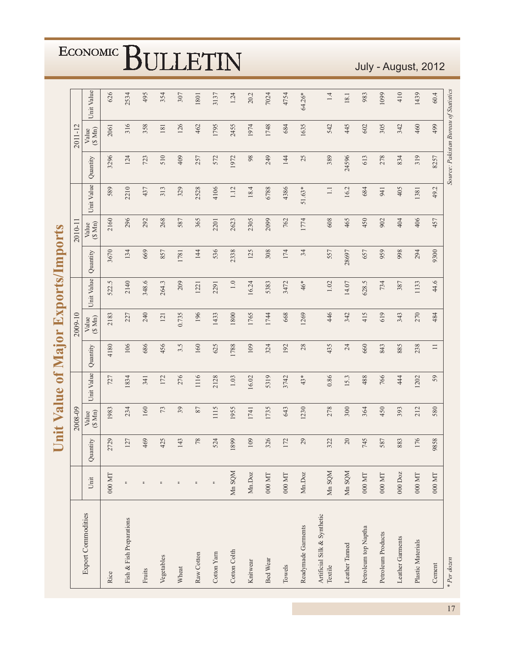|                                        |                      |          | Value<br>hit     | $\mathbf{d}$ |          |                 | Major Exports/Imports |          |                 |            |                                       |                 |            |
|----------------------------------------|----------------------|----------|------------------|--------------|----------|-----------------|-----------------------|----------|-----------------|------------|---------------------------------------|-----------------|------------|
|                                        |                      |          | 2008-09          |              |          | 2009-10         |                       |          | 2010-11         |            |                                       | 2011-12         |            |
| <b>Export Commodities</b>              | Unit                 | Quantity | Value<br>(\$ Mn) | Unit Value   | Quantity | (S Mn)<br>Value | Unit Value            | Quantity | (\$Mn)<br>Value | Unit Value | Quantity                              | (\$Mn)<br>Value | Unit Value |
| Rice                                   | $000\,\mathrm{MT}$   | 2729     | 1983             | 727          | 4180     | 2183            | 522.5                 | 3670     | 2160            | 589        | 3296                                  | 2061            | 626        |
| Fish & Fish Preparations               | $\mathrel{\mathop:}$ | 127      | 234              | 1834         | 106      | 227             | 2140                  | 134      | 296             | 2210       | 124                                   | 316             | 2534       |
| Fruits                                 | $\mathrel{\mathop:}$ | 469      | 160              | 341          | 686      | 240             | 348.6                 | 669      | 292             | 437        | 723                                   | 358             | 495        |
| Vegetables                             | $\equiv$             | 425      | 73               | 172          | 456      | 121             | 264.3                 | 857      | 268             | 313        | 510                                   | 181             | 354        |
| Wheat                                  | $\equiv$             | 143      | 39               | 276          | 3.5      | 0.735           | 209                   | 1781     | 587             | 329        | 409                                   | 126             | 307        |
| Raw Cotton                             | $\mathrel{\mathop:}$ | $78$     | 87               | 1116         | 160      | 196             | 1221                  | 144      | 365             | 2528       | 257                                   | 462             | 1801       |
| Cotton Yarn                            | $\mathrel{\mathop:}$ | 524      | 1115             | 2128         | 625      | 1433            | 2291                  | 536      | 2201            | 4106       | 572                                   | 1795            | 3137       |
| Cotton Colth                           | Mn SQM               | 1899     | 1955             | 1.03         | 1788     | 1800            | $1.0\,$               | 2338     | 2623            | 1.12       | 1972                                  | 2455            | 1.24       |
| Knitwear                               | Mn.Doz               | 109      | 1741             | 16.02        | 109      | 1765            | 16.24                 | 125      | 2305            | 18.4       | $98$                                  | 1974            | 20.2       |
| Bed Wear                               | $000\,\mathrm{MT}$   | 326      | 1735             | 5319         | 324      | 1744            | 5383                  | 308      | 2099            | 6788       | 249                                   | 1748            | 7024       |
| Towels                                 | $000\,\mathrm{MT}$   | $172\,$  | 643              | 3742         | 192      | 668             | 3472                  | 174      | 762             | 4386       | 144                                   | 684             | 4754       |
| Readymade Garments                     | Mn.Doz               | 29       | 1230             | $43*$        | 28       | 1269            | 46*                   | 34       | 1774            | 51.63*     | 25                                    | 1635            | 64.26*     |
| Artificial Silk & Synthetic<br>Textile | Mn SQM               | 322      | 278              | 0.86         | 435      | 446             | 1.02                  | 557      | 608             | $\Box$     | 389                                   | 542             | 1.4        |
| Leather Tanned                         | Mn SQM               | $20\,$   | 300              | 15.3         | 24       | 342             | 14.07                 | 28697    | 465             | 16.2       | 24596                                 | 445             | 18.1       |
| Petroleum top Naptha                   | $000\,\mathrm{MT}$   | 745      | 364              | 488          | 660      | 415             | 628.5                 | 657      | 450             | 684        | 613                                   | 602             | 983        |
| Petroleum Products                     | $000\,\mathrm{MT}$   | 587      | 450              | 766          | 843      | 619             | 734                   | 959      | 902             | 941        | 278                                   | 305             | 1099       |
| Leather Garments                       | $000$ Doz            | 883      | 393              | 444          | 885      | 343             | 387                   | 998      | 404             | 405        | 834                                   | 342             | 410        |
| Plastic Materials                      | $000\,\mathrm{MT}$   | 176      | 212              | 1202         | 238      | 270             | 1133                  | 294      | 406             | 1381       | 319                                   | 460             | 1439       |
| Cement                                 | $000\,\mathrm{MT}$   | 9858     | 580              | 59           | $\Box$   | 484             | 44.6                  | 9300     | 457             | 49.2       | 8257                                  | 499             | 60.4       |
| * Per dozen                            |                      |          |                  |              |          |                 |                       |          |                 |            | Source: Pakistan Bureau of Statistics |                 |            |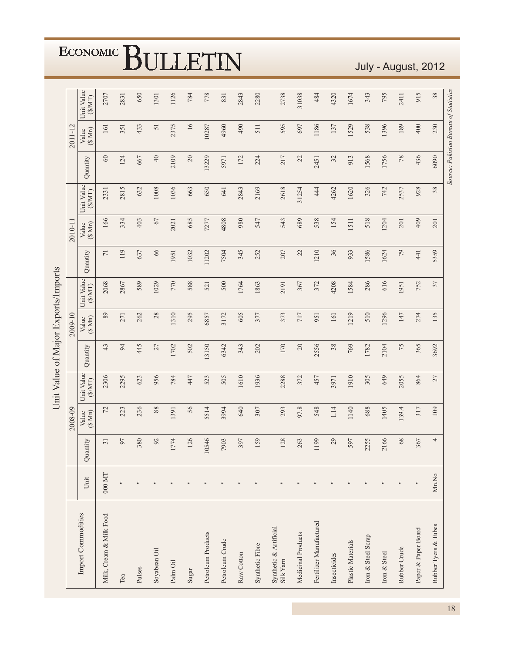|                                     |                          |                 | 2008-09          |                     |          | 2009-10          | Unit Value of Major Exports/Imports |                | 2010-1             |                    |                                       | 2011-12          |                     |
|-------------------------------------|--------------------------|-----------------|------------------|---------------------|----------|------------------|-------------------------------------|----------------|--------------------|--------------------|---------------------------------------|------------------|---------------------|
| Import Commodities                  | Unit                     | Quantity        | Value<br>(\$ Mn) | Unit Value<br>(SMT) | Quantity | Value<br>(\$ Mn) | Unit Value<br>(SMT)                 | Quantity       | $(\S Mn)$<br>Value | Unit Value<br>(MM) | Quantity                              | Value<br>(\$ Mn) | Unit Value<br>(SMT) |
| Milk, Cream & Milk Food             | 000 MT                   | $\overline{31}$ | 72               | 2306                | 43       | 89               | 2068                                | $\overline{7}$ | 166                | 2331               | $60\,$                                | 161              | 2707                |
| Tea                                 | $\equiv$                 | 97              | 223              | 2295                | 94       | 271              | 2867                                | 119            | 334                | 2815               | 124                                   | 351              | 2831                |
| Pulses                              | $\overline{\phantom{a}}$ | 380             | 236              | 623                 | 445      | 262              | 589                                 | 637            | 403                | 632                | 667                                   | 433              | 650                 |
| Soyabean Oil                        | $\equiv$                 | 92              | $88\,$           | 956                 | 27       | $28$             | 1029                                | $66$           | $67\,$             | 1008               | $40$                                  | 51               | 1301                |
| Palm Oil                            | $\equiv$                 | 1774            | 1391             | 784                 | 1702     | 1310             | 770                                 | 1951           | 2021               | 1036               | 2109                                  | 2375             | 1126                |
| Sugar                               | $\equiv$                 | 126             | 56               | 447                 | 502      | 295              | 588                                 | 1032           | 685                | 663                | $20\,$                                | 16               | 784                 |
| Petroleum Products                  | $\overline{\phantom{a}}$ | 0546            | 5514             | 523                 | 13150    | 6857             | 521                                 | 11202          | 7277               | 650                | 13229                                 | 10287            | 778                 |
| Petroleum Crude                     | $\equiv$                 | 7903            | 3994             | 505                 | 6342     | 3172             | 500                                 | 7504           | 4808               | 641                | 5971                                  | 4960             | 831                 |
| Raw Cotton                          | $\equiv$                 | 397             | 640              | 1610                | 343      | 605              | 1764                                | 345            | 980                | 2843               | 172                                   | 490              | 2843                |
| Synthetic Fibre                     | $\overline{\phantom{a}}$ | 159             | 307              | 1936                | 202      | 377              | 1863                                | 252            | 547                | 2169               | 224                                   | 511              | 2280                |
| Synthetic & Artificial<br>Silk Yarn | $\overline{\phantom{a}}$ | 128             | 293              | 2288                | 170      | 373              | 2191                                | 207            | 543                | 2618               | 217                                   | 595              | 2738                |
| Medicinal Products                  | $\equiv$                 | 263             | 97.8             | 372                 | $20\,$   | 717              | 367                                 | 22             | 689                | 31254              | 22                                    | 697              | 31038               |
| Fertilizer Manufactured             | $\overline{\phantom{a}}$ | 1199            | 548              | 457                 | 2556     | 951              | 372                                 | 1210           | 538                | 444                | 2451                                  | 1186             | 484                 |
| Insecticides                        | $\overline{\phantom{a}}$ | 29              | 1.14             | 3971                | $38\,$   | 161              | 4208                                | 36             | 154                | 4262               | 32                                    | 137              | 4320                |
| Plastic Materials                   | $\equiv$                 | 597             | 1140             | 1910                | 769      | 1219             | 1584                                | 933            | 1511               | 1620               | 913                                   | 1529             | 1674                |
| Iron & Steel Scrap                  | $\equiv$                 | 2255            | 688              | 305                 | 1782     | 510              | 286                                 | 1586           | 518                | 326                | 1568                                  | 538              | 343                 |
| Iron & Steel                        | $\overline{\phantom{a}}$ | 2166            | 1405             | 649                 | 2104     | 1296             | 616                                 | 1624           | 1204               | 742                | 1756                                  | 1396             | 795                 |
| Rubber Crude                        | $\ddot{ }$               | $68\,$          | 139.4            | 2055                | 75       | 147              | 1951                                | $79$           | 201                | 2537               | $78\,$                                | 189              | 2411                |
| Paper & Paper Board                 | $\overline{\phantom{a}}$ | 367             | 317              | 864                 | 365      | 274              | 752                                 | 441            | 409                | 928                | 436                                   | 400              | 915                 |
| Rubber Tyers & Tubes                | Mn.No                    | 4               | 109              | 27                  | 3692     | 135              | 37                                  | 5359           | 201                | 38                 | 6090                                  | 230              | 38                  |
|                                     |                          |                 |                  |                     |          |                  |                                     |                |                    |                    | Source: Pakistan Bureau of Statistics |                  |                     |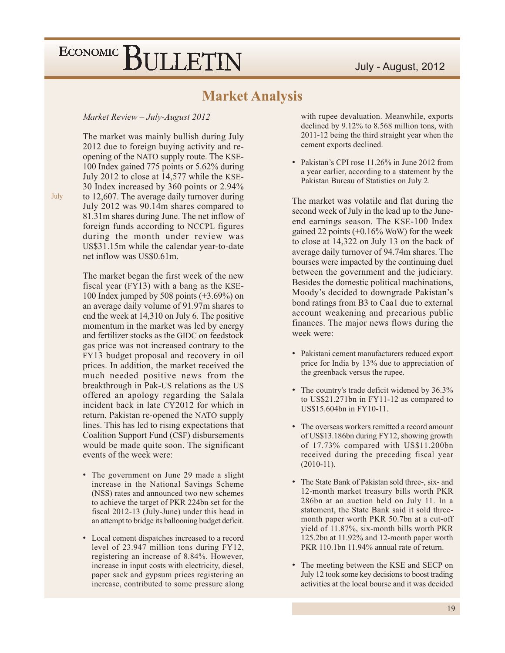#### **Market Analysis**

#### Market Review - July-August 2012

The market was mainly bullish during July 2012 due to foreign buying activity and reopening of the NATO supply route. The KSE-100 Index gained 775 points or 5.62% during July 2012 to close at 14,577 while the KSE-30 Index increased by 360 points or 2.94% to 12,607. The average daily turnover during July 2012 was 90.14m shares compared to 81.31m shares during June. The net inflow of foreign funds according to NCCPL figures during the month under review was US\$31.15m while the calendar year-to-date net inflow was US\$0.61m.

The market began the first week of the new fiscal year (FY13) with a bang as the KSE-100 Index jumped by 508 points  $(+3.69\%)$  on an average daily volume of 91.97m shares to end the week at 14,310 on July 6. The positive momentum in the market was led by energy and fertilizer stocks as the GIDC on feedstock gas price was not increased contrary to the FY13 budget proposal and recovery in oil prices. In addition, the market received the much needed positive news from the breakthrough in Pak-US relations as the US offered an apology regarding the Salala incident back in late CY2012 for which in return, Pakistan re-opened the NATO supply lines. This has led to rising expectations that Coalition Support Fund (CSF) disbursements would be made quite soon. The significant events of the week were:

- The government on June 29 made a slight increase in the National Savings Scheme (NSS) rates and announced two new schemes to achieve the target of PKR 224bn set for the fiscal 2012-13 (July-June) under this head in an attempt to bridge its ballooning budget deficit.
- Local cement dispatches increased to a record level of 23.947 million tons during FY12, registering an increase of 8.84%. However, increase in input costs with electricity, diesel, paper sack and gypsum prices registering an increase, contributed to some pressure along

with rupee devaluation. Meanwhile, exports declined by 9.12% to 8.568 million tons, with 2011-12 being the third straight year when the cement exports declined.

• Pakistan's CPI rose 11.26% in June 2012 from a year earlier, according to a statement by the Pakistan Bureau of Statistics on July 2.

The market was volatile and flat during the second week of July in the lead up to the Juneend earnings season. The KSE-100 Index gained 22 points  $(+0.16\%$  WoW) for the week to close at 14,322 on July 13 on the back of average daily turnover of 94.74m shares. The bourses were impacted by the continuing duel between the government and the judiciary. Besides the domestic political machinations, Moody's decided to downgrade Pakistan's bond ratings from B3 to Caa1 due to external account weakening and precarious public finances. The major news flows during the week were:

- Pakistani cement manufacturers reduced export price for India by 13% due to appreciation of the greenback versus the rupee.
- The country's trade deficit widened by 36.3% to US\$21.271bn in FY11-12 as compared to US\$15.604bn in FY10-11.
- The overseas workers remitted a record amount of US\$13.186bn during FY12, showing growth of 17.73% compared with US\$11.200bn received during the preceding fiscal year  $(2010-11).$
- The State Bank of Pakistan sold three-, six- and 12-month market treasury bills worth PKR 286bn at an auction held on July 11. In a statement, the State Bank said it sold threemonth paper worth PKR 50.7bn at a cut-off yield of 11.87%, six-month bills worth PKR 125.2bn at 11.92% and 12-month paper worth PKR 110.1bn 11.94% annual rate of return.
- The meeting between the KSE and SECP on July 12 took some key decisions to boost trading activities at the local bourse and it was decided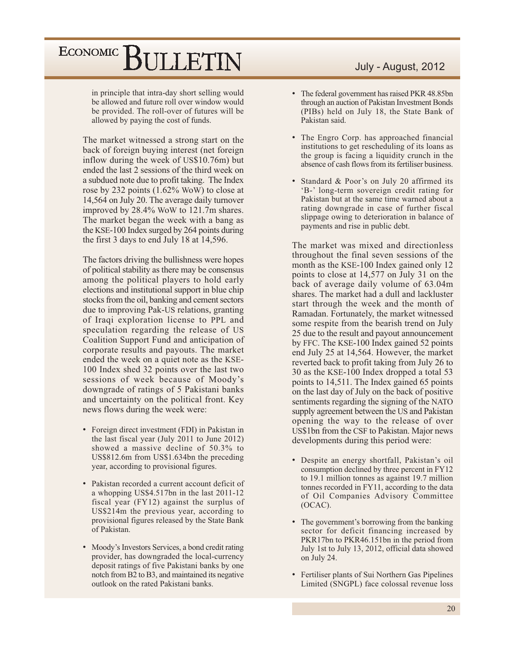in principle that intra-day short selling would be allowed and future roll over window would be provided. The roll-over of futures will be allowed by paying the cost of funds.

The market witnessed a strong start on the back of foreign buying interest (net foreign inflow during the week of US\$10.76m) but ended the last 2 sessions of the third week on a subdued note due to profit taking. The Index rose by 232 points (1.62% WoW) to close at 14,564 on July 20. The average daily turnover improved by 28.4% WoW to 121.7m shares. The market began the week with a bang as the KSE-100 Index surged by 264 points during the first 3 days to end July 18 at 14,596.

The factors driving the bullishness were hopes of political stability as there may be consensus among the political players to hold early elections and institutional support in blue chip stocks from the oil, banking and cement sectors due to improving Pak-US relations, granting of Iraqi exploration license to PPL and speculation regarding the release of US Coalition Support Fund and anticipation of corporate results and payouts. The market ended the week on a quiet note as the KSE-100 Index shed 32 points over the last two sessions of week because of Moody's downgrade of ratings of 5 Pakistani banks and uncertainty on the political front. Key news flows during the week were:

- Foreign direct investment (FDI) in Pakistan in the last fiscal year (July 2011 to June 2012) showed a massive decline of 50.3% to US\$812.6m from US\$1.634bn the preceding year, according to provisional figures.
- Pakistan recorded a current account deficit of a whopping US\$4.517bn in the last 2011-12 fiscal year (FY12) against the surplus of US\$214m the previous year, according to provisional figures released by the State Bank of Pakistan.
- Moody's Investors Services, a bond credit rating provider, has downgraded the local-currency deposit ratings of five Pakistani banks by one notch from B2 to B3, and maintained its negative outlook on the rated Pakistani banks.

#### July - August, 2012

- The federal government has raised PKR 48.85bn through an auction of Pakistan Investment Bonds (PIBs) held on July 18, the State Bank of Pakistan said.
- The Engro Corp. has approached financial institutions to get rescheduling of its loans as the group is facing a liquidity crunch in the absence of cash flows from its fertiliser business.
- Standard & Poor's on July 20 affirmed its 'B-' long-term sovereign credit rating for Pakistan but at the same time warned about a rating downgrade in case of further fiscal slippage owing to deterioration in balance of payments and rise in public debt.

The market was mixed and directionless throughout the final seven sessions of the month as the KSE-100 Index gained only 12 points to close at 14,577 on July 31 on the back of average daily volume of 63.04m shares. The market had a dull and lackluster start through the week and the month of Ramadan. Fortunately, the market witnessed some respite from the bearish trend on July 25 due to the result and payout announcement by FFC. The KSE-100 Index gained 52 points end July 25 at 14,564. However, the market reverted back to profit taking from July 26 to 30 as the KSE-100 Index dropped a total 53 points to 14,511. The Index gained 65 points on the last day of July on the back of positive sentiments regarding the signing of the NATO supply agreement between the US and Pakistan opening the way to the release of over US\$1bn from the CSF to Pakistan. Major news developments during this period were:

- Despite an energy shortfall, Pakistan's oil consumption declined by three percent in FY12 to 19.1 million tonnes as against 19.7 million tonnes recorded in FY11, according to the data of Oil Companies Advisory Committee  $(OCAC).$
- The government's borrowing from the banking sector for deficit financing increased by PKR17bn to PKR46.151bn in the period from July 1st to July 13, 2012, official data showed on July 24.
- Fertiliser plants of Sui Northern Gas Pipelines Limited (SNGPL) face colossal revenue loss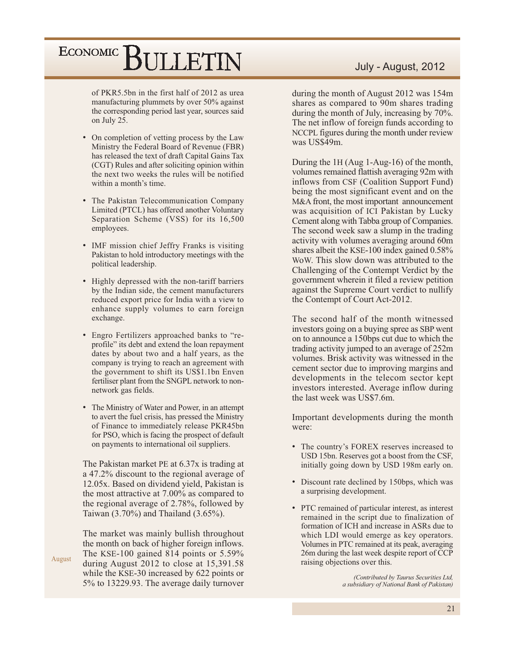of PKR5.5bn in the first half of 2012 as urea manufacturing plummets by over 50% against the corresponding period last year, sources said on July 25.

- On completion of vetting process by the Law Ministry the Federal Board of Revenue (FBR) has released the text of draft Capital Gains Tax (CGT) Rules and after soliciting opinion within the next two weeks the rules will be notified within a month's time.
- The Pakistan Telecommunication Company Limited (PTCL) has offered another Voluntary Separation Scheme (VSS) for its 16,500 employees.
- IMF mission chief Jeffry Franks is visiting Pakistan to hold introductory meetings with the political leadership.
- Highly depressed with the non-tariff barriers by the Indian side, the cement manufacturers reduced export price for India with a view to enhance supply volumes to earn foreign exchange.
- Engro Fertilizers approached banks to "reprofile" its debt and extend the loan repayment dates by about two and a half years, as the company is trying to reach an agreement with the government to shift its US\$1.1bn Enven fertiliser plant from the SNGPL network to nonnetwork gas fields.
- The Ministry of Water and Power, in an attempt to avert the fuel crisis, has pressed the Ministry of Finance to immediately release PKR45bn for PSO, which is facing the prospect of default on payments to international oil suppliers.

The Pakistan market PE at 6.37x is trading at a 47.2% discount to the regional average of 12.05x. Based on dividend yield, Pakistan is the most attractive at 7.00% as compared to the regional average of 2.78%, followed by Taiwan  $(3.70\%)$  and Thailand  $(3.65\%)$ .

The market was mainly bullish throughout the month on back of higher foreign inflows. The KSE-100 gained 814 points or  $5.59\%$ August during August 2012 to close at  $15,391.58$ while the KSE-30 increased by 622 points or 5% to 13229.93. The average daily turnover

#### July - August, 2012

during the month of August 2012 was 154m shares as compared to 90m shares trading during the month of July, increasing by 70%. The net inflow of foreign funds according to NCCPL figures during the month under review was US\$49m.

During the 1H (Aug 1-Aug-16) of the month, volumes remained flattish averaging 92m with inflows from CSF (Coalition Support Fund) being the most significant event and on the M&A front, the most important announcement was acquisition of ICI Pakistan by Lucky Cement along with Tabba group of Companies. The second week saw a slump in the trading activity with volumes averaging around 60m shares albeit the KSE-100 index gained 0.58% Wow. This slow down was attributed to the Challenging of the Contempt Verdict by the government wherein it filed a review petition against the Supreme Court verdict to nullify the Contempt of Court Act-2012.

The second half of the month witnessed investors going on a buying spree as SBP went on to announce a 150bps cut due to which the trading activity jumped to an average of 252m volumes. Brisk activity was witnessed in the cement sector due to improving margins and developments in the telecom sector kept investors interested. Average inflow during the last week was US\$7.6m.

Important developments during the month were:

- The country's FOREX reserves increased to USD 15bn. Reserves got a boost from the CSF, initially going down by USD 198m early on.
- Discount rate declined by 150bps, which was a surprising development.
- PTC remained of particular interest, as interest remained in the script due to finalization of formation of ICH and increase in ASRs due to which LDI would emerge as key operators. Volumes in PTC remained at its peak, averaging 26m during the last week despite report of CCP raising objections over this.

(Contributed by Taurus Securities Ltd, a subsidiary of National Bank of Pakistan)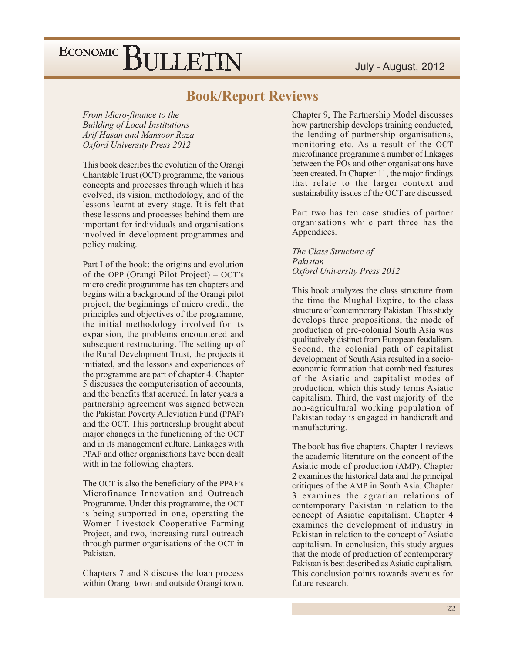#### **Book/Report Reviews**

From Micro-finance to the **Building of Local Institutions** Arif Hasan and Mansoor Raza Oxford University Press 2012

This book describes the evolution of the Orangi Charitable Trust (OCT) programme, the various concepts and processes through which it has evolved, its vision, methodology, and of the lessons learnt at every stage. It is felt that these lessons and processes behind them are important for individuals and organisations involved in development programmes and policy making.

Part I of the book: the origins and evolution of the OPP (Orangi Pilot Project) – OCT's micro credit programme has ten chapters and begins with a background of the Orangi pilot project, the beginnings of micro credit, the principles and objectives of the programme, the initial methodology involved for its expansion, the problems encountered and subsequent restructuring. The setting up of the Rural Development Trust, the projects it initiated, and the lessons and experiences of the programme are part of chapter 4. Chapter 5 discusses the computerisation of accounts, and the benefits that accrued. In later years a partnership agreement was signed between the Pakistan Poverty Alleviation Fund (PPAF) and the OCT. This partnership brought about major changes in the functioning of the OCT and in its management culture. Linkages with PPAF and other organisations have been dealt with in the following chapters.

The OCT is also the beneficiary of the PPAF's Microfinance Innovation and Outreach Programme. Under this programme, the OCT is being supported in one, operating the Women Livestock Cooperative Farming Project, and two, increasing rural outreach through partner organisations of the OCT in Pakistan.

Chapters 7 and 8 discuss the loan process within Orangi town and outside Orangi town.

Chapter 9, The Partnership Model discusses how partnership develops training conducted, the lending of partnership organisations, monitoring etc. As a result of the OCT microfinance programme a number of linkages between the POs and other organisations have been created. In Chapter 11, the major findings that relate to the larger context and sustainability issues of the OCT are discussed.

Part two has ten case studies of partner organisations while part three has the Appendices.

The Class Structure of Pakistan Oxford University Press 2012

This book analyzes the class structure from the time the Mughal Expire, to the class structure of contemporary Pakistan. This study develops three propositions; the mode of production of pre-colonial South Asia was qualitatively distinct from European feudalism. Second, the colonial path of capitalist development of South Asia resulted in a socioeconomic formation that combined features of the Asiatic and capitalist modes of production, which this study terms Asiatic capitalism. Third, the vast majority of the non-agricultural working population of Pakistan today is engaged in handicraft and manufacturing.

The book has five chapters. Chapter 1 reviews the academic literature on the concept of the Asiatic mode of production (AMP). Chapter 2 examines the historical data and the principal critiques of the AMP in South Asia. Chapter 3 examines the agrarian relations of contemporary Pakistan in relation to the concept of Asiatic capitalism. Chapter 4 examines the development of industry in Pakistan in relation to the concept of Asiatic capitalism. In conclusion, this study argues that the mode of production of contemporary Pakistan is best described as Asiatic capitalism. This conclusion points towards avenues for future research.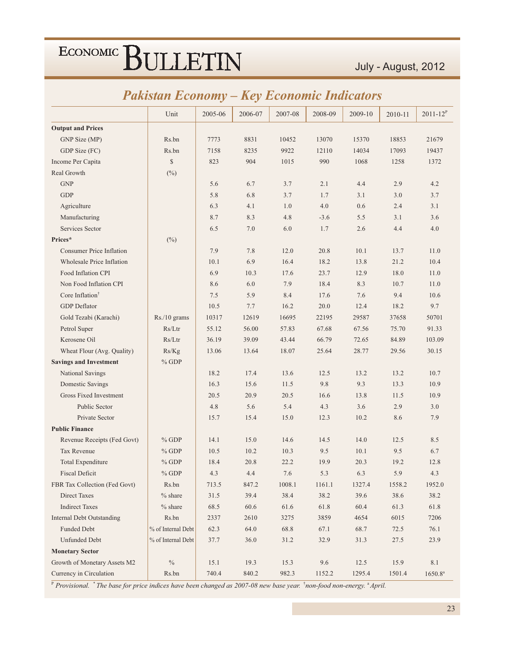|                                  |                    | ✔       | ັ        |         |         |         |         |                     |
|----------------------------------|--------------------|---------|----------|---------|---------|---------|---------|---------------------|
|                                  | Unit               | 2005-06 | 2006-07  | 2007-08 | 2008-09 | 2009-10 | 2010-11 | $2011 - 12^{P}$     |
| <b>Output and Prices</b>         |                    |         |          |         |         |         |         |                     |
| GNP Size (MP)                    | Rs.bn              | 7773    | 8831     | 10452   | 13070   | 15370   | 18853   | 21679               |
| GDP Size (FC)                    | Rs.bn              | 7158    | 8235     | 9922    | 12110   | 14034   | 17093   | 19437               |
| Income Per Capita                | \$                 | 823     | 904      | 1015    | 990     | 1068    | 1258    | 1372                |
| Real Growth                      | $(\%)$             |         |          |         |         |         |         |                     |
| <b>GNP</b>                       |                    | 5.6     | 6.7      | 3.7     | 2.1     | 4.4     | 2.9     | 4.2                 |
| <b>GDP</b>                       |                    | 5.8     | 6.8      | 3.7     | 1.7     | 3.1     | 3.0     | 3.7                 |
| Agriculture                      |                    | 6.3     | 4.1      | 1.0     | 4.0     | 0.6     | 2.4     | 3.1                 |
| Manufacturing                    |                    | 8.7     | 8.3      | 4.8     | $-3.6$  | 5.5     | 3.1     | 3.6                 |
| Services Sector                  |                    | 6.5     | 7.0      | 6.0     | 1.7     | 2.6     | 4.4     | 4.0                 |
| Prices*                          | $(\%)$             |         |          |         |         |         |         |                     |
| <b>Consumer Price Inflation</b>  |                    | 7.9     | 7.8      | 12.0    | 20.8    | 10.1    | 13.7    | 11.0                |
| <b>Wholesale Price Inflation</b> |                    | 10.1    | 6.9      | 16.4    | 18.2    | 13.8    | 21.2    | 10.4                |
| Food Inflation CPI               |                    | 6.9     | 10.3     | 17.6    | 23.7    | 12.9    | 18.0    | 11.0                |
| Non Food Inflation CPI           |                    | 8.6     | 6.0      | 7.9     | 18.4    | 8.3     | 10.7    | 11.0                |
| Core Inflation <sup>†</sup>      |                    | 7.5     | 5.9      | 8.4     | 17.6    | 7.6     | 9.4     | 10.6                |
| <b>GDP</b> Deflator              |                    | 10.5    | 7.7      | 16.2    | 20.0    | 12.4    | 18.2    | 9.7                 |
| Gold Tezabi (Karachi)            | Rs./10 grams       | 10317   | 12619    | 16695   | 22195   | 29587   | 37658   | 50701               |
| Petrol Super                     | Rs/Ltr             | 55.12   | 56.00    | 57.83   | 67.68   | 67.56   | 75.70   | 91.33               |
| Kerosene Oil                     | Rs/Ltr             | 36.19   | 39.09    | 43.44   | 66.79   | 72.65   | 84.89   | 103.09              |
| Wheat Flour (Avg. Quality)       | Rs/Kg              | 13.06   | 13.64    | 18.07   | 25.64   | 28.77   | 29.56   | 30.15               |
| <b>Savings and Investment</b>    | $%$ GDP            |         |          |         |         |         |         |                     |
| National Savings                 |                    | 18.2    | 17.4     | 13.6    | 12.5    | 13.2    | 13.2    | 10.7                |
| Domestic Savings                 |                    | 16.3    | 15.6     | 11.5    | 9.8     | 9.3     | 13.3    | 10.9                |
| <b>Gross Fixed Investment</b>    |                    | 20.5    | 20.9     | 20.5    | 16.6    | 13.8    | 11.5    | 10.9                |
| Public Sector                    |                    | 4.8     | 5.6      | 5.4     | 4.3     | 3.6     | 2.9     | 3.0                 |
| Private Sector                   |                    | 15.7    | 15.4     | 15.0    | 12.3    | 10.2    | 8.6     | 7.9                 |
| <b>Public Finance</b>            |                    |         |          |         |         |         |         |                     |
| Revenue Receipts (Fed Govt)      | $%$ GDP            | 14.1    | 15.0     | 14.6    | 14.5    | 14.0    | 12.5    | 8.5                 |
| <b>Tax Revenue</b>               | $%$ GDP            | 10.5    | 10.2     | 10.3    | 9.5     | 10.1    | 9.5     | 6.7                 |
| <b>Total Expenditure</b>         | $%$ GDP            | 18.4    | 20.8     | 22.2    | 19.9    | 20.3    | 19.2    | 12.8                |
| <b>Fiscal Deficit</b>            | $%$ GDP            | 4.3     | 4.4      | 7.6     | 5.3     | 6.3     | 5.9     | 4.3                 |
| FBR Tax Collection (Fed Govt)    | Rs.bn              | 713.5   | 847.2    | 1008.1  | 1161.1  | 1327.4  | 1558.2  | 1952.0              |
| <b>Direct Taxes</b>              | $%$ share          | 31.5    | 39.4     | 38.4    | 38.2    | 39.6    | 38.6    | 38.2                |
| <b>Indirect Taxes</b>            | $%$ share          | 68.5    | $60.6\,$ | 61.6    | 61.8    | 60.4    | 61.3    | 61.8                |
| <b>Internal Debt Outstanding</b> | Rs.bn              | 2337    | 2610     | 3275    | 3859    | 4654    | 6015    | 7206                |
| <b>Funded Debt</b>               | % of Internal Debt | 62.3    | 64.0     | 68.8    | 67.1    | 68.7    | 72.5    | 76.1                |
| <b>Unfunded Debt</b>             | % of Internal Debt | 37.7    | 36.0     | 31.2    | 32.9    | 31.3    | 27.5    | 23.9                |
| <b>Monetary Sector</b>           |                    |         |          |         |         |         |         |                     |
| Growth of Monetary Assets M2     | $\%$               | 15.1    | 19.3     | 15.3    | $9.6\,$ | 12.5    | 15.9    | 8.1                 |
| Currency in Circulation          | Rs.bn              | 740.4   | 840.2    | 982.3   | 1152.2  | 1295.4  | 1501.4  | 1650.8 <sup>a</sup> |

### **Pakistan Economy – Key Economic Indicators**

P Provisional. \* The base for price indices have been changed as 2007-08 new base year. \*non-food non-energy. \* April.